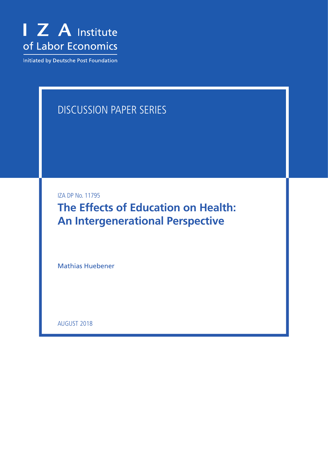

Initiated by Deutsche Post Foundation

# DISCUSSION PAPER SERIES

IZA DP No. 11795

**The Effects of Education on Health: An Intergenerational Perspective**

Mathias Huebener

AUGUST 2018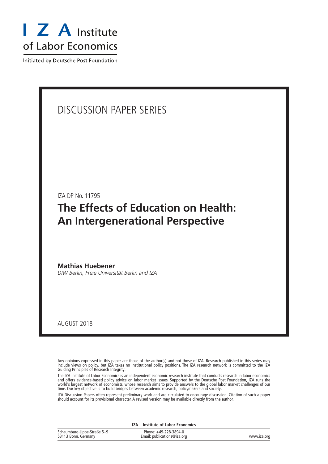

Initiated by Deutsche Post Foundation

## DISCUSSION PAPER SERIES

IZA DP No. 11795

## **The Effects of Education on Health: An Intergenerational Perspective**

**Mathias Huebener** *DIW Berlin, Freie Universität Berlin and IZA*

AUGUST 2018

Any opinions expressed in this paper are those of the author(s) and not those of IZA. Research published in this series may include views on policy, but IZA takes no institutional policy positions. The IZA research network is committed to the IZA Guiding Principles of Research Integrity.

The IZA Institute of Labor Economics is an independent economic research institute that conducts research in labor economics and offers evidence-based policy advice on labor market issues. Supported by the Deutsche Post Foundation, IZA runs the world's largest network of economists, whose research aims to provide answers to the global labor market challenges of our time. Our key objective is to build bridges between academic research, policymakers and society.

IZA Discussion Papers often represent preliminary work and are circulated to encourage discussion. Citation of such a paper should account for its provisional character. A revised version may be available directly from the author.

|                             | IZA - Institute of Labor Economics |             |
|-----------------------------|------------------------------------|-------------|
| Schaumburg-Lippe-Straße 5–9 | Phone: +49-228-3894-0              |             |
| 53113 Bonn, Germany         | Email: publications@iza.org        | www.iza.org |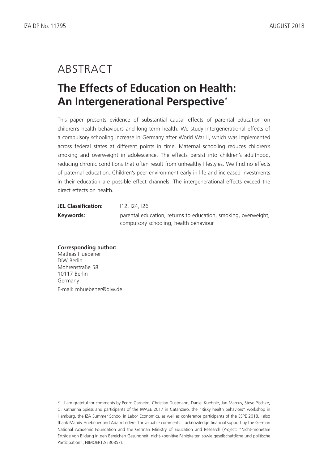## ABSTRACT

## **The Effects of Education on Health: An Intergenerational Perspective\***

This paper presents evidence of substantial causal effects of parental education on children's health behaviours and long-term health. We study intergenerational effects of a compulsory schooling increase in Germany after World War II, which was implemented across federal states at different points in time. Maternal schooling reduces children's smoking and overweight in adolescence. The effects persist into children's adulthood, reducing chronic conditions that often result from unhealthy lifestyles. We find no effects of paternal education. Children's peer environment early in life and increased investments in their education are possible effect channels. The intergenerational effects exceed the direct effects on health.

| <b>JEL Classification:</b> | 112, 124, 126                                                  |
|----------------------------|----------------------------------------------------------------|
| Keywords:                  | parental education, returns to education, smoking, overweight, |
|                            | compulsory schooling, health behaviour                         |

### **Corresponding author:** Mathias Huebener DIW Berlin

Mohrenstraße 58 10117 Berlin Germany E-mail: mhuebener@diw.de

<sup>\*</sup> I am grateful for comments by Pedro Carneiro, Christian Dustmann, Daniel Kuehnle, Jan Marcus, Steve Pischke, C. Katharina Spiess and participants of the IWAEE 2017 in Catanzaro, the "Risky health behaviors" workshop in Hamburg, the IZA Summer School in Labor Economics, as well as conference participants of the ESPE 2018. I also thank Mandy Huebener and Adam Lederer for valuable comments. I acknowledge financial support by the German National Academic Foundation and the German Ministry of Education and Research (Project: "Nicht-monetäre Erträge von Bildung in den Bereichen Gesundheit, nicht-kognitive Fähigkeiten sowie gesellschaftliche und politische Partizipation", NIMOERT2/#30857).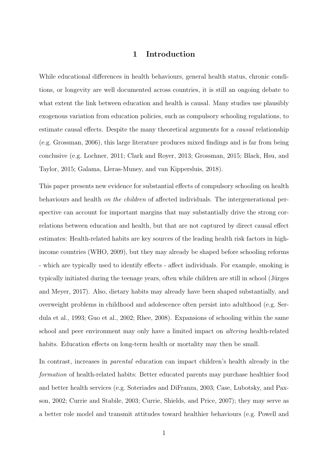## 1 Introduction

While educational differences in health behaviours, general health status, chronic conditions, or longevity are well documented across countries, it is still an ongoing debate to what extent the link between education and health is causal. Many studies use plausibly exogenous variation from education policies, such as compulsory schooling regulations, to estimate causal effects. Despite the many theoretical arguments for a causal relationship (e.g. [Grossman,](#page-35-0) [2006\)](#page-35-0), this large literature produces mixed findings and is far from being conclusive (e.g. [Lochner,](#page-37-0) [2011;](#page-37-0) [Clark and Royer,](#page-34-0) [2013;](#page-34-0) [Grossman,](#page-35-1) [2015;](#page-35-1) [Black, Hsu, and](#page-33-0) [Taylor,](#page-33-0) [2015;](#page-33-0) [Galama, Lleras-Muney, and van Kippersluis,](#page-35-2) [2018\)](#page-35-2).

This paper presents new evidence for substantial effects of compulsory schooling on health behaviours and health on the children of affected individuals. The intergenerational perspective can account for important margins that may substantially drive the strong correlations between education and health, but that are not captured by direct causal effect estimates: Health-related habits are key sources of the leading health risk factors in highincome countries [\(WHO,](#page-39-0) [2009\)](#page-39-0), but they may already be shaped before schooling reforms - which are typically used to identify effects - affect individuals. For example, smoking is typically initiated during the teenage years, often while children are still in school (Jürges [and Meyer,](#page-36-0) [2017\)](#page-36-0). Also, dietary habits may already have been shaped substantially, and overweight problems in childhood and adolescence often persist into adulthood (e.g. [Ser](#page-38-0)[dula et al.,](#page-38-0) [1993;](#page-38-0) [Guo et al.,](#page-35-3) [2002;](#page-35-3) [Rhee,](#page-38-1) [2008\)](#page-38-1). Expansions of schooling within the same school and peer environment may only have a limited impact on altering health-related habits. Education effects on long-term health or mortality may then be small.

In contrast, increases in parental education can impact children's health already in the formation of health-related habits: Better educated parents may purchase healthier food and better health services (e.g. [Soteriades and DiFranza,](#page-38-2) [2003;](#page-38-2) [Case, Lubotsky, and Pax](#page-33-1)[son,](#page-33-1) [2002;](#page-33-1) [Currie and Stabile,](#page-34-1) [2003;](#page-34-1) [Currie, Shields, and Price,](#page-34-2) [2007\)](#page-34-2); they may serve as a better role model and transmit attitudes toward healthier behaviours (e.g. [Powell and](#page-38-3)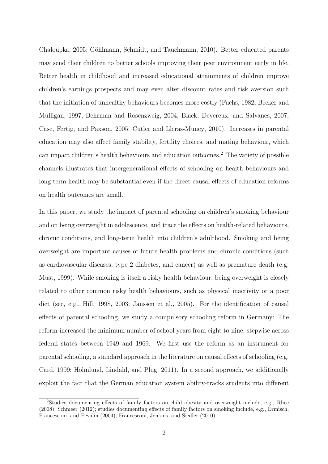[Chaloupka,](#page-38-3) [2005;](#page-38-3) Göhlmann, Schmidt, and Tauchmann, [2010\)](#page-35-4). Better educated parents may send their children to better schools improving their peer environment early in life. Better health in childhood and increased educational attainments of children improve children's earnings prospects and may even alter discount rates and risk aversion such that the initiation of unhealthy behaviours becomes more costly [\(Fuchs,](#page-35-5) [1982;](#page-35-5) [Becker and](#page-33-2) [Mulligan,](#page-33-2) [1997;](#page-33-2) [Behrman and Rosenzweig,](#page-33-3) [2004;](#page-33-3) [Black, Devereux, and Salvanes,](#page-33-4) [2007;](#page-33-4) [Case, Fertig, and Paxson,](#page-33-5) [2005;](#page-33-5) [Cutler and Lleras-Muney,](#page-34-3) [2010\)](#page-34-3). Increases in parental education may also affect family stability, fertility choices, and mating behaviour, which can impact children's health behaviours and education outcomes.[2](#page--1-0) The variety of possible channels illustrates that intergenerational effects of schooling on health behaviours and long-term health may be substantial even if the direct causal effects of education reforms on health outcomes are small.

In this paper, we study the impact of parental schooling on children's smoking behaviour and on being overweight in adolescence, and trace the effects on health-related behaviours, chronic conditions, and long-term health into children's adulthood. Smoking and being overweight are important causes of future health problems and chronic conditions (such as cardiovascular diseases, type 2 diabetes, and cancer) as well as premature death (e.g. [Must,](#page-37-1) [1999\)](#page-37-1). While smoking is itself a risky health behaviour, being overweight is closely related to other common risky health behaviours, such as physical inactivity or a poor diet (see, e.g., [Hill,](#page-36-1) [1998,](#page-36-1) [2003;](#page-36-2) [Janssen et al.,](#page-36-3) [2005\)](#page-36-3). For the identification of causal effects of parental schooling, we study a compulsory schooling reform in Germany: The reform increased the minimum number of school years from eight to nine, stepwise across federal states between 1949 and 1969. We first use the reform as an instrument for parental schooling, a standard approach in the literature on causal effects of schooling (e.g. [Card,](#page-33-6) [1999;](#page-33-6) [Holmlund, Lindahl, and Plug,](#page-36-4) [2011\)](#page-36-4). In a second approach, we additionally exploit the fact that the German education system ability-tracks students into different

<sup>2</sup>Studies documenting effects of family factors on child obesity and overweight include, e.g., [Rhee](#page-38-1) [\(2008\)](#page-38-1); [Schmeer](#page-38-4) [\(2012\)](#page-38-4); studies documenting effects of family factors on smoking include, e.g., [Ermisch,](#page-35-6) [Francesconi, and Pevalin](#page-35-6) [\(2004\)](#page-35-6); [Francesconi, Jenkins, and Siedler](#page-35-7) [\(2010\)](#page-35-7).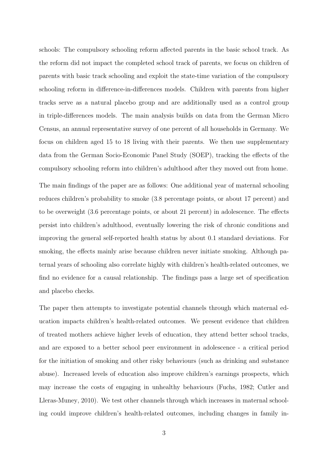schools: The compulsory schooling reform affected parents in the basic school track. As the reform did not impact the completed school track of parents, we focus on children of parents with basic track schooling and exploit the state-time variation of the compulsory schooling reform in difference-in-differences models. Children with parents from higher tracks serve as a natural placebo group and are additionally used as a control group in triple-differences models. The main analysis builds on data from the German Micro Census, an annual representative survey of one percent of all households in Germany. We focus on children aged 15 to 18 living with their parents. We then use supplementary data from the German Socio-Economic Panel Study (SOEP), tracking the effects of the compulsory schooling reform into children's adulthood after they moved out from home.

The main findings of the paper are as follows: One additional year of maternal schooling reduces children's probability to smoke (3.8 percentage points, or about 17 percent) and to be overweight (3.6 percentage points, or about 21 percent) in adolescence. The effects persist into children's adulthood, eventually lowering the risk of chronic conditions and improving the general self-reported health status by about 0.1 standard deviations. For smoking, the effects mainly arise because children never initiate smoking. Although paternal years of schooling also correlate highly with children's health-related outcomes, we find no evidence for a causal relationship. The findings pass a large set of specification and placebo checks.

The paper then attempts to investigate potential channels through which maternal education impacts children's health-related outcomes. We present evidence that children of treated mothers achieve higher levels of education, they attend better school tracks, and are exposed to a better school peer environment in adolescence - a critical period for the initiation of smoking and other risky behaviours (such as drinking and substance abuse). Increased levels of education also improve children's earnings prospects, which may increase the costs of engaging in unhealthy behaviours [\(Fuchs,](#page-35-5) [1982;](#page-35-5) [Cutler and](#page-34-3) [Lleras-Muney,](#page-34-3) [2010\)](#page-34-3). We test other channels through which increases in maternal schooling could improve children's health-related outcomes, including changes in family in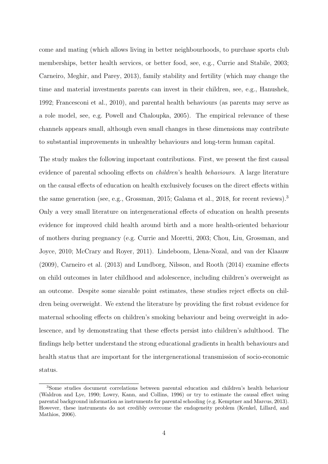come and mating (which allows living in better neighbourhoods, to purchase sports club memberships, better health services, or better food, see, e.g., [Currie and Stabile,](#page-34-1) [2003;](#page-34-1) [Carneiro, Meghir, and Parey,](#page-33-7) [2013\)](#page-33-7), family stability and fertility (which may change the time and material investments parents can invest in their children, see, e.g., [Hanushek,](#page-35-8) [1992;](#page-35-8) [Francesconi et al.,](#page-35-7) [2010\)](#page-35-7), and parental health behaviours (as parents may serve as a role model, see, e.g. [Powell and Chaloupka,](#page-38-3) [2005\)](#page-38-3). The empirical relevance of these channels appears small, although even small changes in these dimensions may contribute to substantial improvements in unhealthy behaviours and long-term human capital.

The study makes the following important contributions. First, we present the first causal evidence of parental schooling effects on children's health behaviours. A large literature on the causal effects of education on health exclusively focuses on the direct effects within the same generation (see, e.g., [Grossman,](#page-35-1) [2015;](#page-35-1) [Galama et al.,](#page-35-2) [2018,](#page-35-2) for recent reviews).<sup>[3](#page--1-0)</sup> Only a very small literature on intergenerational effects of education on health presents evidence for improved child health around birth and a more health-oriented behaviour of mothers during pregnancy (e.g. [Currie and Moretti,](#page-34-4) [2003;](#page-34-4) [Chou, Liu, Grossman, and](#page-34-5) [Joyce,](#page-34-5) [2010;](#page-34-5) [McCrary and Royer,](#page-37-2) [2011\)](#page-37-2). [Lindeboom, Llena-Nozal, and van der Klaauw](#page-36-5) [\(2009\)](#page-36-5), [Carneiro et al.](#page-33-7) [\(2013\)](#page-33-7) and [Lundborg, Nilsson, and Rooth](#page-37-3) [\(2014\)](#page-37-3) examine effects on child outcomes in later childhood and adolescence, including children's overweight as an outcome. Despite some sizeable point estimates, these studies reject effects on children being overweight. We extend the literature by providing the first robust evidence for maternal schooling effects on children's smoking behaviour and being overweight in adolescence, and by demonstrating that these effects persist into children's adulthood. The findings help better understand the strong educational gradients in health behaviours and health status that are important for the intergenerational transmission of socio-economic status.

<sup>3</sup>Some studies document correlations between parental education and children's health behaviour [\(Waldron and Lye,](#page-39-1) [1990;](#page-39-1) [Lowry, Kann, and Collins,](#page-37-4) [1996\)](#page-37-4) or try to estimate the causal effect using parental background information as instruments for parental schooling (e.g. [Kemptner and Marcus,](#page-36-6) [2013\)](#page-36-6). However, these instruments do not credibly overcome the endogeneity problem [\(Kenkel, Lillard, and](#page-36-7) [Mathios,](#page-36-7) [2006\)](#page-36-7).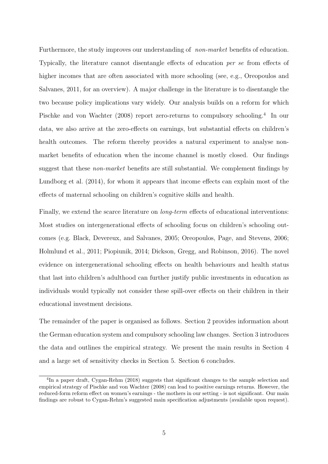Furthermore, the study improves our understanding of *non-market* benefits of education. Typically, the literature cannot disentangle effects of education per se from effects of higher incomes that are often associated with more schooling (see, e.g., [Oreopoulos and](#page-37-5) [Salvanes,](#page-37-5) [2011,](#page-37-5) for an overview). A major challenge in the literature is to disentangle the two because policy implications vary widely. Our analysis builds on a reform for which [Pischke and von Wachter](#page-38-5) [\(2008\)](#page-38-5) report zero-returns to compulsory schooling.<sup>[4](#page--1-0)</sup> In our data, we also arrive at the zero-effects on earnings, but substantial effects on children's health outcomes. The reform thereby provides a natural experiment to analyse nonmarket benefits of education when the income channel is mostly closed. Our findings suggest that these *non-market* benefits are still substantial. We complement findings by [Lundborg et al.](#page-37-3) [\(2014\)](#page-37-3), for whom it appears that income effects can explain most of the effects of maternal schooling on children's cognitive skills and health.

Finally, we extend the scarce literature on *long-term* effects of educational interventions: Most studies on intergenerational effects of schooling focus on children's schooling outcomes (e.g. [Black, Devereux, and Salvanes,](#page-33-8) [2005;](#page-33-8) [Oreopoulos, Page, and Stevens,](#page-37-6) [2006;](#page-37-6) [Holmlund et al.,](#page-36-4) [2011;](#page-36-4) [Piopiunik,](#page-37-7) [2014;](#page-37-7) [Dickson, Gregg, and Robinson,](#page-34-6) [2016\)](#page-34-6). The novel evidence on intergenerational schooling effects on health behaviours and health status that last into children's adulthood can further justify public investments in education as individuals would typically not consider these spill-over effects on their children in their educational investment decisions.

The remainder of the paper is organised as follows. Section [2](#page-7-0) provides information about the German education system and compulsory schooling law changes. Section [3](#page-9-0) introduces the data and outlines the empirical strategy. We present the main results in Section [4](#page-15-0) and a large set of sensitivity checks in Section [5.](#page-27-0) Section [6](#page-31-0) concludes.

<span id="page-7-0"></span><sup>&</sup>lt;sup>4</sup>In a paper draft, [Cygan-Rehm](#page-34-7) [\(2018\)](#page-34-7) suggests that significant changes to the sample selection and empirical strategy of [Pischke and von Wachter](#page-38-5) [\(2008\)](#page-38-5) can lead to positive earnings returns. However, the reduced-form reform effect on women's earnings - the mothers in our setting - is not significant. Our main findings are robust to [Cygan-Rehm'](#page-34-7)s suggested main specification adjustments (available upon request).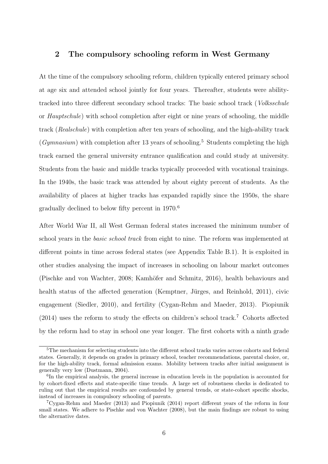## 2 The compulsory schooling reform in West Germany

At the time of the compulsory schooling reform, children typically entered primary school at age six and attended school jointly for four years. Thereafter, students were abilitytracked into three different secondary school tracks: The basic school track (Volksschule or Hauptschule) with school completion after eight or nine years of schooling, the middle track (Realschule) with completion after ten years of schooling, and the high-ability track  $(Gymnasium)$  with completion after 13 years of schooling.<sup>[5](#page--1-0)</sup> Students completing the high track earned the general university entrance qualification and could study at university. Students from the basic and middle tracks typically proceeded with vocational trainings. In the 1940s, the basic track was attended by about eighty percent of students. As the availability of places at higher tracks has expanded rapidly since the 1950s, the share gradually declined to below fifty percent in 1970.[6](#page--1-0)

After World War II, all West German federal states increased the minimum number of school years in the *basic school track* from eight to nine. The reform was implemented at different points in time across federal states (see Appendix Table [B.1\)](#page-53-0). It is exploited in other studies analysing the impact of increases in schooling on labour market outcomes [\(Pischke and von Wachter,](#page-38-5) [2008;](#page-38-5) Kamhöfer and Schmitz, [2016\)](#page-36-8), health behaviours and health status of the affected generation (Kemptner, Jürges, and Reinhold, [2011\)](#page-36-9), civic engagement [\(Siedler,](#page-38-6) [2010\)](#page-38-6), and fertility [\(Cygan-Rehm and Maeder,](#page-34-8) [2013\)](#page-34-8). [Piopiunik](#page-37-7)  $(2014)$  uses the reform to study the effects on children's school track.<sup>[7](#page--1-0)</sup> Cohorts affected by the reform had to stay in school one year longer. The first cohorts with a ninth grade

<sup>5</sup>The mechanism for selecting students into the different school tracks varies across cohorts and federal states. Generally, it depends on grades in primary school, teacher recommendations, parental choice, or, for the high-ability track, formal admission exams. Mobility between tracks after initial assignment is generally very low [\(Dustmann,](#page-34-9) [2004\)](#page-34-9).

<sup>&</sup>lt;sup>6</sup>In the empirical analysis, the general increase in education levels in the population is accounted for by cohort-fixed effects and state-specific time trends. A large set of robustness checks is dedicated to ruling out that the empirical results are confounded by general trends, or state-cohort specific shocks, instead of increases in compulsory schooling of parents.

<sup>7</sup>[Cygan-Rehm and Maeder](#page-34-8) [\(2013\)](#page-34-8) and [Piopiunik](#page-37-7) [\(2014\)](#page-37-7) report different years of the reform in four small states. We adhere to [Pischke and von Wachter](#page-38-5) [\(2008\)](#page-38-5), but the main findings are robust to using the alternative dates.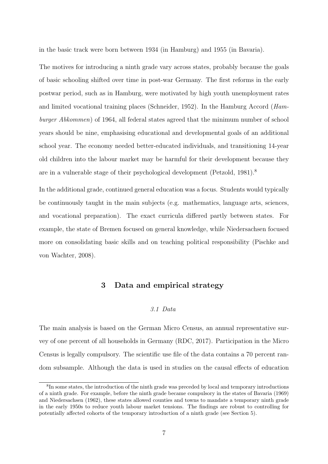in the basic track were born between 1934 (in Hamburg) and 1955 (in Bavaria).

The motives for introducing a ninth grade vary across states, probably because the goals of basic schooling shifted over time in post-war Germany. The first reforms in the early postwar period, such as in Hamburg, were motivated by high youth unemployment rates and limited vocational training places [\(Schneider,](#page-38-7) [1952\)](#page-38-7). In the Hamburg Accord (Hamburger Abkommen) of 1964, all federal states agreed that the minimum number of school years should be nine, emphasising educational and developmental goals of an additional school year. The economy needed better-educated individuals, and transitioning 14-year old children into the labour market may be harmful for their development because they are in a vulnerable stage of their psychological development [\(Petzold,](#page-37-8) [1981\)](#page-37-8).[8](#page--1-0)

In the additional grade, continued general education was a focus. Students would typically be continuously taught in the main subjects (e.g. mathematics, language arts, sciences, and vocational preparation). The exact curricula differed partly between states. For example, the state of Bremen focused on general knowledge, while Niedersachsen focused more on consolidating basic skills and on teaching political responsibility [\(Pischke and](#page-38-5) [von Wachter,](#page-38-5) [2008\)](#page-38-5).

### <span id="page-9-0"></span>3 Data and empirical strategy

#### 3.1 Data

<span id="page-9-1"></span>The main analysis is based on the German Micro Census, an annual representative survey of one percent of all households in Germany [\(RDC,](#page-38-8) [2017\)](#page-38-8). Participation in the Micro Census is legally compulsory. The scientific use file of the data contains a 70 percent random subsample. Although the data is used in studies on the causal effects of education

<sup>&</sup>lt;sup>8</sup>In some states, the introduction of the ninth grade was preceded by local and temporary introductions of a ninth grade. For example, before the ninth grade became compulsory in the states of Bavaria (1969) and Niedersachsen (1962), these states allowed counties and towns to mandate a temporary ninth grade in the early 1950s to reduce youth labour market tensions. The findings are robust to controlling for potentially affected cohorts of the temporary introduction of a ninth grade (see Section [5\)](#page-27-0).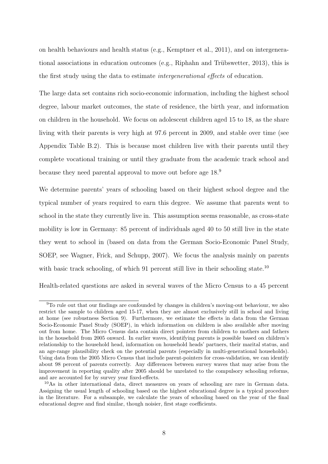on health behaviours and health status (e.g., [Kemptner et al.,](#page-36-9) [2011\)](#page-36-9), and on intergenera-tional associations in education outcomes (e.g., Riphahn and Trübswetter, [2013\)](#page-38-9), this is the first study using the data to estimate intergenerational effects of education.

The large data set contains rich socio-economic information, including the highest school degree, labour market outcomes, the state of residence, the birth year, and information on children in the household. We focus on adolescent children aged 15 to 18, as the share living with their parents is very high at 97.6 percent in 2009, and stable over time (see Appendix Table [B.2\)](#page-53-1). This is because most children live with their parents until they complete vocational training or until they graduate from the academic track school and because they need parental approval to move out before age 18.[9](#page--1-0)

We determine parents' years of schooling based on their highest school degree and the typical number of years required to earn this degree. We assume that parents went to school in the state they currently live in. This assumption seems reasonable, as cross-state mobility is low in Germany: 85 percent of individuals aged 40 to 50 still live in the state they went to school in (based on data from the German Socio-Economic Panel Study, SOEP, see [Wagner, Frick, and Schupp,](#page-39-2) [2007\)](#page-39-2). We focus the analysis mainly on parents with basic track schooling, of which 91 percent still live in their schooling state.<sup>[10](#page--1-0)</sup>

Health-related questions are asked in several waves of the Micro Census to a 45 percent

<sup>9</sup>To rule out that our findings are confounded by changes in children's moving-out behaviour, we also restrict the sample to children aged 15-17, when they are almost exclusively still in school and living at home (see robustness Section [9\)](#page-48-0). Furthermore, we estimate the effects in data from the German Socio-Economic Panel Study (SOEP), in which information on children is also available after moving out from home. The Micro Census data contain direct pointers from children to mothers and fathers in the household from 2005 onward. In earlier waves, identifying parents is possible based on children's relationship to the household head, information on household heads' partners, their marital status, and an age-range plausibility check on the potential parents (especially in multi-generational households). Using data from the 2005 Micro Census that include parent-pointers for cross-validation, we can identify about 98 percent of parents correctly. Any differences between survey waves that may arise from the improvement in reporting quality after 2005 should be unrelated to the compulsory schooling reforms, and are accounted for by survey year fixed-effects.

<sup>10</sup>As in other international data, direct measures on years of schooling are rare in German data. Assigning the usual length of schooling based on the highest educational degree is a typical procedure in the literature. For a subsample, we calculate the years of schooling based on the year of the final educational degree and find similar, though noisier, first stage coefficients.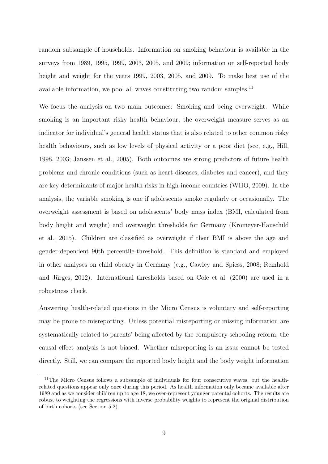random subsample of households. Information on smoking behaviour is available in the surveys from 1989, 1995, 1999, 2003, 2005, and 2009; information on self-reported body height and weight for the years 1999, 2003, 2005, and 2009. To make best use of the available information, we pool all waves constituting two random samples.<sup>[11](#page--1-0)</sup>

We focus the analysis on two main outcomes: Smoking and being overweight. While smoking is an important risky health behaviour, the overweight measure serves as an indicator for individual's general health status that is also related to other common risky health behaviours, such as low levels of physical activity or a poor diet (see, e.g., [Hill,](#page-36-1) [1998,](#page-36-1) [2003;](#page-36-2) [Janssen et al.,](#page-36-3) [2005\)](#page-36-3). Both outcomes are strong predictors of future health problems and chronic conditions (such as heart diseases, diabetes and cancer), and they are key determinants of major health risks in high-income countries [\(WHO,](#page-39-0) [2009\)](#page-39-0). In the analysis, the variable smoking is one if adolescents smoke regularly or occasionally. The overweight assessment is based on adolescents' body mass index (BMI, calculated from body height and weight) and overweight thresholds for Germany [\(Kromeyer-Hauschild](#page-36-10) [et al.,](#page-36-10) [2015\)](#page-36-10). Children are classified as overweight if their BMI is above the age and gender-dependent 90th percentile-threshold. This definition is standard and employed in other analyses on child obesity in Germany (e.g., [Cawley and Spiess,](#page-34-10) [2008;](#page-34-10) [Reinhold](#page-38-10) and Jürges,  $2012$ ). International thresholds based on [Cole et al.](#page-34-11)  $(2000)$  are used in a robustness check.

Answering health-related questions in the Micro Census is voluntary and self-reporting may be prone to misreporting. Unless potential misreporting or missing information are systematically related to parents' being affected by the compulsory schooling reform, the causal effect analysis is not biased. Whether misreporting is an issue cannot be tested directly. Still, we can compare the reported body height and the body weight information

<sup>&</sup>lt;sup>11</sup>The Micro Census follows a subsample of individuals for four consecutive waves, but the healthrelated questions appear only once during this period. As health information only became available after 1989 and as we consider children up to age 18, we over-represent younger parental cohorts. The results are robust to weighting the regressions with inverse probability weights to represent the original distribution of birth cohorts (see Section [5.2\)](#page-30-0).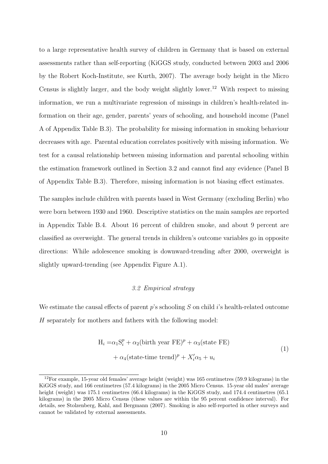to a large representative health survey of children in Germany that is based on external assessments rather than self-reporting (KiGGS study, conducted between 2003 and 2006 by the Robert Koch-Institute, see [Kurth,](#page-36-11) [2007\)](#page-36-11). The average body height in the Micro Census is slightly larger, and the body weight slightly lower.<sup>[12](#page--1-0)</sup> With respect to missing information, we run a multivariate regression of missings in children's health-related information on their age, gender, parents' years of schooling, and household income (Panel A of Appendix Table [B.3\)](#page-54-0). The probability for missing information in smoking behaviour decreases with age. Parental education correlates positively with missing information. We test for a causal relationship between missing information and parental schooling within the estimation framework outlined in Section [3.2](#page-12-0) and cannot find any evidence (Panel B of Appendix Table [B.3\)](#page-54-0). Therefore, missing information is not biasing effect estimates.

The samples include children with parents based in West Germany (excluding Berlin) who were born between 1930 and 1960. Descriptive statistics on the main samples are reported in Appendix Table [B.4.](#page-55-0) About 16 percent of children smoke, and about 9 percent are classified as overweight. The general trends in children's outcome variables go in opposite directions: While adolescence smoking is downward-trending after 2000, overweight is slightly upward-trending (see Appendix Figure [A.1\)](#page-49-0).

#### 3.2 Empirical strategy

<span id="page-12-0"></span>We estimate the causal effects of parent  $p$ 's schooling  $S$  on child i's health-related outcome H separately for mothers and fathers with the following model:

<span id="page-12-1"></span>
$$
H_i = \alpha_1 S_i^p + \alpha_2 (\text{birth year FE})^p + \alpha_3 (\text{state FE})
$$
  
+  $\alpha_4 (\text{state-time trend})^p + X_i' \alpha_5 + u_i$  (1)

<sup>12</sup>For example, 15-year old females' average height (weight) was 165 centimetres (59.9 kilograms) in the KiGGS study, and 166 centimetres (57.4 kilograms) in the 2005 Micro Census. 15-year old males' average height (weight) was 175.1 centimetres (66.4 kilograms) in the KiGGS study, and 174.4 centimetres (65.1 kilograms) in the 2005 Micro Census (these values are within the 95 percent confidence interval). For details, see [Stolzenberg, Kahl, and Bergmann](#page-39-3) [\(2007\)](#page-39-3). Smoking is also self-reported in other surveys and cannot be validated by external assessments.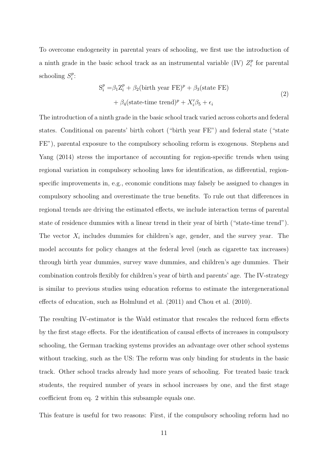To overcome endogeneity in parental years of schooling, we first use the introduction of a ninth grade in the basic school track as an instrumental variable (IV)  $Z_i^p$  $i$ <sup>p</sup> for parental schooling  $S_i^p$  $_i^p$ :

<span id="page-13-0"></span>
$$
S_i^p = \beta_1 Z_i^p + \beta_2 (\text{birth year FE})^p + \beta_3 (\text{state FE})
$$
  
+  $\beta_4 (\text{state-time trend})^p + X_i' \beta_5 + \epsilon_i$  (2)

The introduction of a ninth grade in the basic school track varied across cohorts and federal states. Conditional on parents' birth cohort ("birth year FE") and federal state ("state FE"), parental exposure to the compulsory schooling reform is exogenous. [Stephens and](#page-38-11) [Yang](#page-38-11) [\(2014\)](#page-38-11) stress the importance of accounting for region-specific trends when using regional variation in compulsory schooling laws for identification, as differential, regionspecific improvements in, e.g., economic conditions may falsely be assigned to changes in compulsory schooling and overestimate the true benefits. To rule out that differences in regional trends are driving the estimated effects, we include interaction terms of parental state of residence dummies with a linear trend in their year of birth ("state-time trend"). The vector  $X_i$  includes dummies for children's age, gender, and the survey year. The model accounts for policy changes at the federal level (such as cigarette tax increases) through birth year dummies, survey wave dummies, and children's age dummies. Their combination controls flexibly for children's year of birth and parents' age. The IV-strategy is similar to previous studies using education reforms to estimate the intergenerational effects of education, such as [Holmlund et al.](#page-36-4) [\(2011\)](#page-36-4) and [Chou et al.](#page-34-5) [\(2010\)](#page-34-5).

The resulting IV-estimator is the Wald estimator that rescales the reduced form effects by the first stage effects. For the identification of causal effects of increases in compulsory schooling, the German tracking systems provides an advantage over other school systems without tracking, such as the US: The reform was only binding for students in the basic track. Other school tracks already had more years of schooling. For treated basic track students, the required number of years in school increases by one, and the first stage coefficient from eq. [2](#page-13-0) within this subsample equals one.

This feature is useful for two reasons: First, if the compulsory schooling reform had no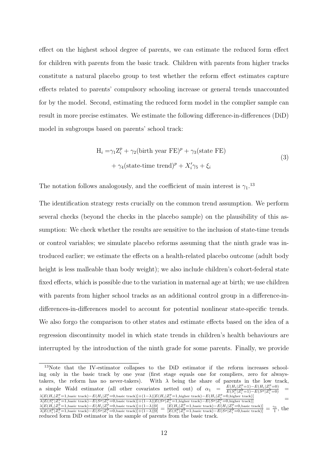effect on the highest school degree of parents, we can estimate the reduced form effect for children with parents from the basic track. Children with parents from higher tracks constitute a natural placebo group to test whether the reform effect estimates capture effects related to parents' compulsory schooling increase or general trends unaccounted for by the model. Second, estimating the reduced form model in the complier sample can result in more precise estimates. We estimate the following difference-in-differences (DiD) model in subgroups based on parents' school track:

<span id="page-14-0"></span>
$$
H_i = \gamma_1 Z_i^p + \gamma_2 (\text{birth year FE})^p + \gamma_3 (\text{state FE})
$$
  
+  $\gamma_4 (\text{state-time trend})^p + X_i' \gamma_5 + \xi_i$  (3)

The notation follows analogously, and the coefficient of main interest is  $\gamma_1$ <sup>[13](#page--1-0)</sup>

The identification strategy rests crucially on the common trend assumption. We perform several checks (beyond the checks in the placebo sample) on the plausibility of this assumption: We check whether the results are sensitive to the inclusion of state-time trends or control variables; we simulate placebo reforms assuming that the ninth grade was introduced earlier; we estimate the effects on a health-related placebo outcome (adult body height is less malleable than body weight); we also include children's cohort-federal state fixed effects, which is possible due to the variation in maternal age at birth; we use children with parents from higher school tracks as an additional control group in a difference-indifferences-in-differences model to account for potential nonlinear state-specific trends. We also forgo the comparison to other states and estimate effects based on the idea of a regression discontinuity model in which state trends in children's health behaviours are interrupted by the introduction of the ninth grade for some parents. Finally, we provide

<sup>&</sup>lt;sup>13</sup>Note that the IV-estimator collapses to the DiD estimator if the reform increases schooling only in the basic track by one year (first stage equals one for compliers, zero for alwaystakers, the reform has no never-takers). With  $\lambda$  being the share of parents in the low track, a simple Wald estimator (all other covariates netted out) of  $\alpha_1$  =  $\frac{E(H_i|Z_i^p=1)-E(H_i|Z_i^p=0)}{E(S_i^p|Z_i^p=1)-E(S^p|Z_i^p=0)}$  =  $\lambda[E(H_i|Z_i^p=1, \text{basic track})-E(H_i|Z_i^p=0, \text{basic track})]+(1-\lambda)[E(H_i|Z_i^p=1, \text{higher track})-E(H_i|Z_i^p=0, \text{higher track})]\nonumber\ \lambda[E(S_i^p|Z_i^p=1, \text{basic track})-E(S^p|Z_i^p=1, \text{higher track})]-E(S^p|Z_i^p=1, \text{higher track})]\nonumber\ =\lambda[E(S_i^p|Z_i^p=1, \text{basic track})-E(S^p|Z_i^p=1, \text{higher track})]-E(S^p|Z_i^p=1, \text{higher track})]\nonumber$ 

 $\frac{\lambda[E(H_i|Z_i^p=1, \text{basic track})-E(H_i|Z_i^p=0, \text{basic track})]+(1-\lambda)[0]}{\lambda[E(S_i^p|Z_i^p=1, \text{basic track})-E(S^p|Z_i^p=0, \text{basic track})-E(S^p|Z_i^p=1, \text{basic track})]} = \frac{[E(H_i|Z_i^p=1, \text{basic track})-E(H_i|Z_i^p=0, \text{basic track})]}{[E(S_i^p|Z_i^p=1, \text{basic track})-E(S^p|Z_i^p=0, \text{basic track})]}$  $\frac{\gamma_1}{1}$ , the reduced form DiD estimator in the sample of parents from the basic track.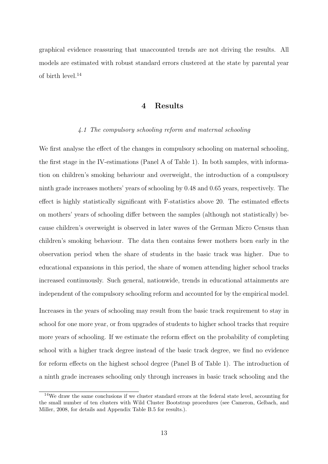<span id="page-15-0"></span>graphical evidence reassuring that unaccounted trends are not driving the results. All models are estimated with robust standard errors clustered at the state by parental year of birth level.[14](#page--1-0)

## 4 Results

#### 4.1 The compulsory schooling reform and maternal schooling

We first analyse the effect of the changes in compulsory schooling on maternal schooling, the first stage in the IV-estimations (Panel A of Table [1\)](#page-40-0). In both samples, with information on children's smoking behaviour and overweight, the introduction of a compulsory ninth grade increases mothers' years of schooling by 0.48 and 0.65 years, respectively. The effect is highly statistically significant with F-statistics above 20. The estimated effects on mothers' years of schooling differ between the samples (although not statistically) because children's overweight is observed in later waves of the German Micro Census than children's smoking behaviour. The data then contains fewer mothers born early in the observation period when the share of students in the basic track was higher. Due to educational expansions in this period, the share of women attending higher school tracks increased continuously. Such general, nationwide, trends in educational attainments are independent of the compulsory schooling reform and accounted for by the empirical model.

Increases in the years of schooling may result from the basic track requirement to stay in school for one more year, or from upgrades of students to higher school tracks that require more years of schooling. If we estimate the reform effect on the probability of completing school with a higher track degree instead of the basic track degree, we find no evidence for reform effects on the highest school degree (Panel B of Table [1\)](#page-40-0). The introduction of a ninth grade increases schooling only through increases in basic track schooling and the

<sup>14</sup>We draw the same conclusions if we cluster standard errors at the federal state level, accounting for the small number of ten clusters with Wild Cluster Bootstrap procedures (see [Cameron, Gelbach, and](#page-33-9) [Miller,](#page-33-9) [2008,](#page-33-9) for details and Appendix Table [B.5](#page-56-0) for results.).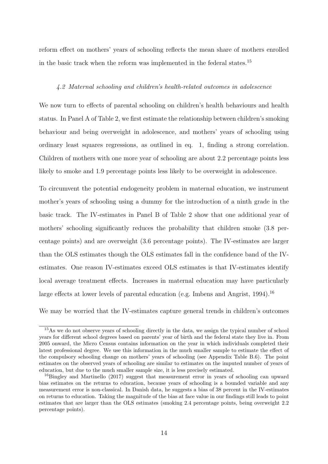reform effect on mothers' years of schooling reflects the mean share of mothers enrolled in the basic track when the reform was implemented in the federal states.[15](#page--1-0)

#### 4.2 Maternal schooling and children's health-related outcomes in adolescence

We now turn to effects of parental schooling on children's health behaviours and health status. In Panel A of Table [2,](#page-41-0) we first estimate the relationship between children's smoking behaviour and being overweight in adolescence, and mothers' years of schooling using ordinary least squares regressions, as outlined in eq. [1,](#page-12-1) finding a strong correlation. Children of mothers with one more year of schooling are about 2.2 percentage points less likely to smoke and 1.9 percentage points less likely to be overweight in adolescence.

To circumvent the potential endogeneity problem in maternal education, we instrument mother's years of schooling using a dummy for the introduction of a ninth grade in the basic track. The IV-estimates in Panel B of Table [2](#page-41-0) show that one additional year of mothers' schooling significantly reduces the probability that children smoke (3.8 percentage points) and are overweight (3.6 percentage points). The IV-estimates are larger than the OLS estimates though the OLS estimates fall in the confidence band of the IVestimates. One reason IV-estimates exceed OLS estimates is that IV-estimates identify local average treatment effects. Increases in maternal education may have particularly large effects at lower levels of parental education (e.g. [Imbens and Angrist,](#page-36-12) [1994\)](#page-36-12).<sup>[16](#page--1-0)</sup>

We may be worried that the IV-estimates capture general trends in children's outcomes

<sup>&</sup>lt;sup>15</sup>As we do not observe years of schooling directly in the data, we assign the typical number of school years for different school degrees based on parents' year of birth and the federal state they live in. From 2005 onward, the Micro Census contains information on the year in which individuals completed their latest professional degree. We use this information in the much smaller sample to estimate the effect of the compulsory schooling change on mothers' years of schooling (see Appendix Table [B.6\)](#page-56-1). The point estimates on the observed years of schooling are similar to estimates on the imputed number of years of education, but due to the much smaller sample size, it is less precisely estimated.

<sup>&</sup>lt;sup>16</sup>[Bingley and Martinello](#page-33-10) [\(2017\)](#page-33-10) suggest that measurement error in years of schooling can upward bias estimates on the returns to education, because years of schooling is a bounded variable and any measurement error is non-classical. In Danish data, he suggests a bias of 38 percent in the IV-estimates on returns to education. Taking the magnitude of the bias at face value in our findings still leads to point estimates that are larger than the OLS estimates (smoking 2.4 percentage points, being overweight 2.2 percentage points).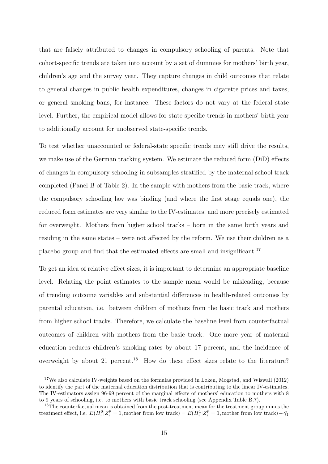that are falsely attributed to changes in compulsory schooling of parents. Note that cohort-specific trends are taken into account by a set of dummies for mothers' birth year, children's age and the survey year. They capture changes in child outcomes that relate to general changes in public health expenditures, changes in cigarette prices and taxes, or general smoking bans, for instance. These factors do not vary at the federal state level. Further, the empirical model allows for state-specific trends in mothers' birth year to additionally account for unobserved state-specific trends.

To test whether unaccounted or federal-state specific trends may still drive the results, we make use of the German tracking system. We estimate the reduced form (DiD) effects of changes in compulsory schooling in subsamples stratified by the maternal school track completed (Panel B of Table [2\)](#page-41-0). In the sample with mothers from the basic track, where the compulsory schooling law was binding (and where the first stage equals one), the reduced form estimates are very similar to the IV-estimates, and more precisely estimated for overweight. Mothers from higher school tracks – born in the same birth years and residing in the same states – were not affected by the reform. We use their children as a placebo group and find that the estimated effects are small and insignificant.[17](#page--1-0)

To get an idea of relative effect sizes, it is important to determine an appropriate baseline level. Relating the point estimates to the sample mean would be misleading, because of trending outcome variables and substantial differences in health-related outcomes by parental education, i.e. between children of mothers from the basic track and mothers from higher school tracks. Therefore, we calculate the baseline level from counterfactual outcomes of children with mothers from the basic track. One more year of maternal education reduces children's smoking rates by about 17 percent, and the incidence of overweight by about 21 percent.<sup>[18](#page--1-0)</sup> How do these effect sizes relate to the literature?

<sup>&</sup>lt;sup>17</sup>We also calculate IV-weights based on the formulas provided in [Løken, Mogstad, and Wiswall](#page-37-9) [\(2012\)](#page-37-9) to identify the part of the maternal education distribution that is contributing to the linear IV-estimates. The IV-estimators assign 96-99 percent of the marginal effects of mothers' education to mothers with 8 to 9 years of schooling, i.e. to mothers with basic track schooling (see Appendix Table [B.7\)](#page-57-0).

<sup>&</sup>lt;sup>18</sup>The counterfactual mean is obtained from the post-treatment mean for the treatment group minus the treatment effect, i.e.  $E(H_i^0 | Z_i^p = 1$ , mother from low track) =  $E(H_i^1 | Z_i^p = 1$ , mother from low track) –  $\hat{\gamma_1}$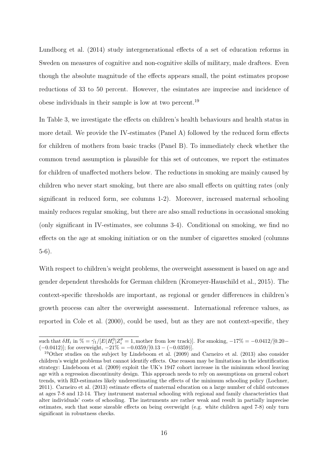[Lundborg et al.](#page-37-3) [\(2014\)](#page-37-3) study intergenerational effects of a set of education reforms in Sweden on measures of cognitive and non-cognitive skills of military, male draftees. Even though the absolute magnitude of the effects appears small, the point estimates propose reductions of 33 to 50 percent. However, the esimtates are imprecise and incidence of obese individuals in their sample is low at two percent.[19](#page--1-0)

In Table [3,](#page-42-0) we investigate the effects on children's health behaviours and health status in more detail. We provide the IV-estimates (Panel A) followed by the reduced form effects for children of mothers from basic tracks (Panel B). To immediately check whether the common trend assumption is plausible for this set of outcomes, we report the estimates for children of unaffected mothers below. The reductions in smoking are mainly caused by children who never start smoking, but there are also small effects on quitting rates (only significant in reduced form, see columns 1-2). Moreover, increased maternal schooling mainly reduces regular smoking, but there are also small reductions in occasional smoking (only significant in IV-estimates, see columns 3-4). Conditional on smoking, we find no effects on the age at smoking initiation or on the number of cigarettes smoked (columns 5-6).

With respect to children's weight problems, the overweight assessment is based on age and gender dependent thresholds for German children [\(Kromeyer-Hauschild et al.,](#page-36-10) [2015\)](#page-36-10). The context-specific thresholds are important, as regional or gender differences in children's growth process can alter the overweight assessment. International reference values, as reported in [Cole et al.](#page-34-11) [\(2000\)](#page-34-11), could be used, but as they are not context-specific, they

such that  $\delta H_i$  in  $\% = \hat{\gamma_1}/[E(H_i^0|Z_i^p = 1, \text{mother from low track})]$ . For smoking,  $-17\% = -0.0412/[0.20 (-0.0412)$ ; for overweight,  $-21\% = -0.0359/[0.13 - (-0.0359)]$ .

<sup>19</sup>Other studies on the subject by [Lindeboom et al.](#page-36-5) [\(2009\)](#page-36-5) and [Carneiro et al.](#page-33-7) [\(2013\)](#page-33-7) also consider children's weight problems but cannot identify effects. One reason may be limitations in the identification strategy: [Lindeboom et al.](#page-36-5) [\(2009\)](#page-36-5) exploit the UK's 1947 cohort increase in the minimum school leaving age with a regression discontinuity design. This approach needs to rely on assumptions on general cohort trends, with RD-estimates likely underestimating the effects of the minimum schooling policy [\(Lochner,](#page-37-0) [2011\)](#page-37-0). [Carneiro et al.](#page-33-7) [\(2013\)](#page-33-7) estimate effects of maternal education on a large number of child outcomes at ages 7-8 and 12-14. They instrument maternal schooling with regional and family characteristics that alter individuals' costs of schooling. The instruments are rather weak and result in partially imprecise estimates, such that some sizeable effects on being overweight (e.g. white children aged 7-8) only turn significant in robustness checks.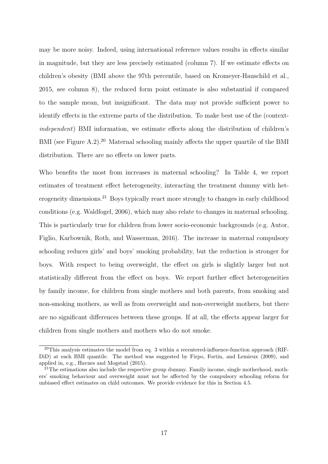may be more noisy. Indeed, using international reference values results in effects similar in magnitude, but they are less precisely estimated (column 7). If we estimate effects on children's obesity (BMI above the 97th percentile, based on [Kromeyer-Hauschild et al.,](#page-36-10) [2015,](#page-36-10) see column 8), the reduced form point estimate is also substantial if compared to the sample mean, but insignificant. The data may not provide sufficient power to identify effects in the extreme parts of the distribution. To make best use of the (contextindependent) BMI information, we estimate effects along the distribution of children's BMI (see Figure [A.2\)](#page-50-0).<sup>[20](#page--1-0)</sup> Maternal schooling mainly affects the upper quartile of the BMI distribution. There are no effects on lower parts.

Who benefits the most from increases in maternal schooling? In Table [4,](#page-43-0) we report estimates of treatment effect heterogeneity, interacting the treatment dummy with het-erogeneity dimensions.<sup>[21](#page--1-0)</sup> Boys typically react more strongly to changes in early childhood conditions (e.g. [Waldfogel,](#page-39-4) [2006\)](#page-39-4), which may also relate to changes in maternal schooling. This is particularly true for children from lower socio-economic backgrounds (e.g. [Autor,](#page-33-11) [Figlio, Karbownik, Roth, and Wasserman,](#page-33-11) [2016\)](#page-33-11). The increase in maternal compulsory schooling reduces girls' and boys' smoking probability, but the reduction is stronger for boys. With respect to being overweight, the effect on girls is slightly larger but not statistically different from the effect on boys. We report further effect heterogeneities by family income, for children from single mothers and both parents, from smoking and non-smoking mothers, as well as from overweight and non-overweight mothers, but there are no significant differences between these groups. If at all, the effects appear larger for children from single mothers and mothers who do not smoke.

<sup>&</sup>lt;sup>20</sup>This analysis estimates the model from eq. [3](#page-14-0) within a recentered-influence-function approach (RIF-DiD) at each BMI quantile. The method was suggested by [Firpo, Fortin, and Lemieux](#page-35-9) [\(2009\)](#page-35-9), and applied in, e.g., [Havnes and Mogstad](#page-35-10) [\(2015\)](#page-35-10).

 $21$ The estimations also include the respective group dummy. Family income, single motherhood, mothers' smoking behaviour and overweight must not be affected by the compulsory schooling reform for unbiased effect estimates on child outcomes. We provide evidence for this in Section [4.5.](#page-22-0)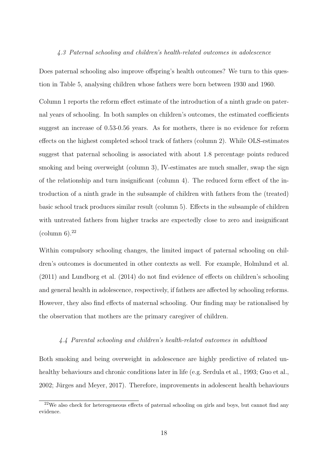#### 4.3 Paternal schooling and children's health-related outcomes in adolescence

Does paternal schooling also improve offspring's health outcomes? We turn to this question in Table [5,](#page-44-0) analysing children whose fathers were born between 1930 and 1960.

Column 1 reports the reform effect estimate of the introduction of a ninth grade on paternal years of schooling. In both samples on children's outcomes, the estimated coefficients suggest an increase of 0.53-0.56 years. As for mothers, there is no evidence for reform effects on the highest completed school track of fathers (column 2). While OLS-estimates suggest that paternal schooling is associated with about 1.8 percentage points reduced smoking and being overweight (column 3), IV-estimates are much smaller, swap the sign of the relationship and turn insignificant (column 4). The reduced form effect of the introduction of a ninth grade in the subsample of children with fathers from the (treated) basic school track produces similar result (column 5). Effects in the subsample of children with untreated fathers from higher tracks are expectedly close to zero and insignificant (column  $6$ ).<sup>[22](#page--1-0)</sup>

Within compulsory schooling changes, the limited impact of paternal schooling on children's outcomes is documented in other contexts as well. For example, [Holmlund et al.](#page-36-4) [\(2011\)](#page-36-4) and [Lundborg et al.](#page-37-3) [\(2014\)](#page-37-3) do not find evidence of effects on children's schooling and general health in adolescence, respectively, if fathers are affected by schooling reforms. However, they also find effects of maternal schooling. Our finding may be rationalised by the observation that mothers are the primary caregiver of children.

#### <span id="page-20-0"></span>4.4 Parental schooling and children's health-related outcomes in adulthood

Both smoking and being overweight in adolescence are highly predictive of related un-healthy behaviours and chronic conditions later in life (e.g. [Serdula et al.,](#page-38-0) [1993;](#page-38-0) [Guo et al.,](#page-35-3) [2002;](#page-35-3) Jürges and Meyer, [2017\)](#page-36-0). Therefore, improvements in adolescent health behaviours

<sup>22</sup>We also check for heterogeneous effects of paternal schooling on girls and boys, but cannot find any evidence.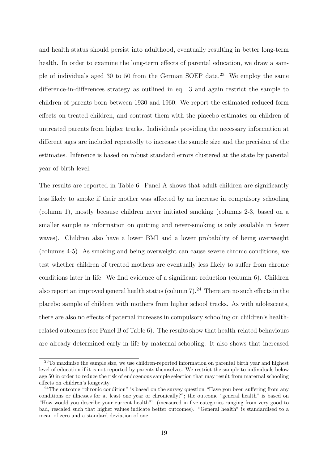and health status should persist into adulthood, eventually resulting in better long-term health. In order to examine the long-term effects of parental education, we draw a sam-ple of individuals aged 30 to 50 from the German SOEP data.<sup>[23](#page--1-0)</sup> We employ the same difference-in-differences strategy as outlined in eq. [3](#page-14-0) and again restrict the sample to children of parents born between 1930 and 1960. We report the estimated reduced form effects on treated children, and contrast them with the placebo estimates on children of untreated parents from higher tracks. Individuals providing the necessary information at different ages are included repeatedly to increase the sample size and the precision of the estimates. Inference is based on robust standard errors clustered at the state by parental year of birth level.

The results are reported in Table [6.](#page-45-0) Panel A shows that adult children are significantly less likely to smoke if their mother was affected by an increase in compulsory schooling (column 1), mostly because children never initiated smoking (columns 2-3, based on a smaller sample as information on quitting and never-smoking is only available in fewer waves). Children also have a lower BMI and a lower probability of being overweight (columns 4-5). As smoking and being overweight can cause severe chronic conditions, we test whether children of treated mothers are eventually less likely to suffer from chronic conditions later in life. We find evidence of a significant reduction (column 6). Children also report an improved general health status (column  $7$ ).<sup>[24](#page--1-0)</sup> There are no such effects in the placebo sample of children with mothers from higher school tracks. As with adolescents, there are also no effects of paternal increases in compulsory schooling on children's healthrelated outcomes (see Panel B of Table [6\)](#page-45-0). The results show that health-related behaviours are already determined early in life by maternal schooling. It also shows that increased

<sup>&</sup>lt;sup>23</sup>To maximise the sample size, we use children-reported information on parental birth year and highest level of education if it is not reported by parents themselves. We restrict the sample to individuals below age 50 in order to reduce the risk of endogenous sample selection that may result from maternal schooling effects on children's longevity.

 $24$ The outcome "chronic condition" is based on the survey question "Have you been suffering from any conditions or illnesses for at least one year or chronically?"; the outcome "general health" is based on "How would you describe your current health?" (measured in five categories ranging from very good to bad, rescaled such that higher values indicate better outcomes). "General health" is standardised to a mean of zero and a standard deviation of one.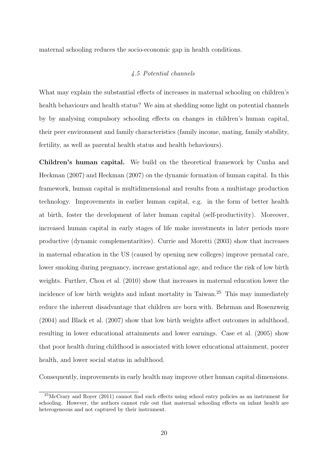<span id="page-22-0"></span>maternal schooling reduces the socio-economic gap in health conditions.

### 4.5 Potential channels

What may explain the substantial effects of increases in maternal schooling on children's health behaviours and health status? We aim at shedding some light on potential channels by by analysing compulsory schooling effects on changes in children's human capital, their peer environment and family characteristics (family income, mating, family stability, fertility, as well as parental health status and health behaviours).

Children's human capital. We build on the theoretical framework by [Cunha and](#page-34-12) [Heckman](#page-34-12) [\(2007\)](#page-34-12) and [Heckman](#page-35-11) [\(2007\)](#page-35-11) on the dynamic formation of human capital. In this framework, human capital is multidimensional and results from a multistage production technology. Improvements in earlier human capital, e.g. in the form of better health at birth, foster the development of later human capital (self-productivity). Moreover, increased human capital in early stages of life make investments in later periods more productive (dynamic complementarities). [Currie and Moretti](#page-34-4) [\(2003\)](#page-34-4) show that increases in maternal education in the US (caused by opening new colleges) improve prenatal care, lower smoking during pregnancy, increase gestational age, and reduce the risk of low birth weights. Further, [Chou et al.](#page-34-5) [\(2010\)](#page-34-5) show that increases in maternal education lower the incidence of low birth weights and infant mortality in Taiwan.[25](#page--1-0) This may immediately reduce the inherent disadvantage that children are born with. [Behrman and Rosenzweig](#page-33-3) [\(2004\)](#page-33-3) and [Black et al.](#page-33-4) [\(2007\)](#page-33-4) show that low birth weights affect outcomes in adulthood, resulting in lower educational attainments and lower earnings. [Case et al.](#page-33-5) [\(2005\)](#page-33-5) show that poor health during childhood is associated with lower educational attainment, poorer health, and lower social status in adulthood.

Consequently, improvements in early health may improve other human capital dimensions.

<sup>25</sup>[McCrary and Royer](#page-37-2) [\(2011\)](#page-37-2) cannot find such effects using school entry policies as an instrument for schooling. However, the authors cannot rule out that maternal schooling effects on infant health are heterogeneous and not captured by their instrument.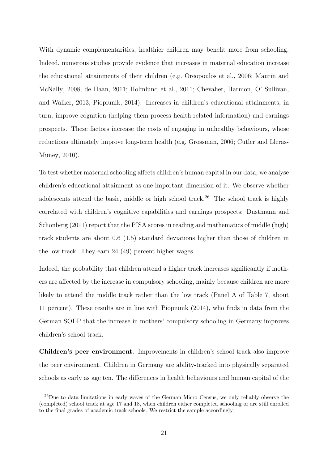With dynamic complementarities, healthier children may benefit more from schooling. Indeed, numerous studies provide evidence that increases in maternal education increase the educational attainments of their children (e.g. [Oreopoulos et al.,](#page-37-6) [2006;](#page-37-6) [Maurin and](#page-37-10) [McNally,](#page-37-10) [2008;](#page-37-10) [de Haan,](#page-34-13) [2011;](#page-34-13) [Holmlund et al.,](#page-36-4) [2011;](#page-36-4) [Chevalier, Harmon, O' Sullivan,](#page-34-14) [and Walker,](#page-34-14) [2013;](#page-34-14) [Piopiunik,](#page-37-7) [2014\)](#page-37-7). Increases in children's educational attainments, in turn, improve cognition (helping them process health-related information) and earnings prospects. These factors increase the costs of engaging in unhealthy behaviours, whose reductions ultimately improve long-term health (e.g. [Grossman,](#page-35-0) [2006;](#page-35-0) [Cutler and Lleras-](#page-34-3)[Muney,](#page-34-3) [2010\)](#page-34-3).

To test whether maternal schooling affects children's human capital in our data, we analyse children's educational attainment as one important dimension of it. We observe whether adolescents attend the basic, middle or high school track.<sup>[26](#page--1-0)</sup> The school track is highly correlated with children's cognitive capabilities and earnings prospects: [Dustmann and](#page-35-12) Schönberg  $(2011)$  report that the PISA scores in reading and mathematics of middle (high) track students are about 0.6 (1.5) standard deviations higher than those of children in the low track. They earn 24 (49) percent higher wages.

Indeed, the probability that children attend a higher track increases significantly if mothers are affected by the increase in compulsory schooling, mainly because children are more likely to attend the middle track rather than the low track (Panel A of Table [7,](#page-46-0) about 11 percent). These results are in line with [Piopiunik](#page-37-7) [\(2014\)](#page-37-7), who finds in data from the German SOEP that the increase in mothers' compulsory schooling in Germany improves children's school track.

Children's peer environment. Improvements in children's school track also improve the peer environment. Children in Germany are ability-tracked into physically separated schools as early as age ten. The differences in health behaviours and human capital of the

<sup>&</sup>lt;sup>26</sup>Due to data limitations in early waves of the German Micro Census, we only reliably observe the (completed) school track at age 17 and 18, when children either completed schooling or are still enrolled to the final grades of academic track schools. We restrict the sample accordingly.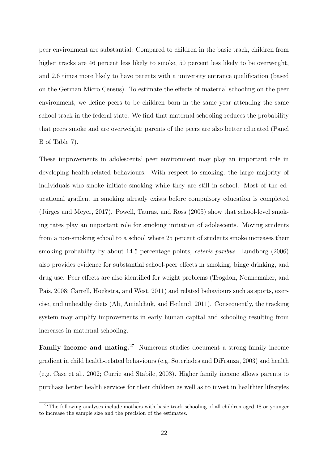peer environment are substantial: Compared to children in the basic track, children from higher tracks are 46 percent less likely to smoke, 50 percent less likely to be overweight, and 2.6 times more likely to have parents with a university entrance qualification (based on the German Micro Census). To estimate the effects of maternal schooling on the peer environment, we define peers to be children born in the same year attending the same school track in the federal state. We find that maternal schooling reduces the probability that peers smoke and are overweight; parents of the peers are also better educated (Panel B of Table [7\)](#page-46-0).

These improvements in adolescents' peer environment may play an important role in developing health-related behaviours. With respect to smoking, the large majority of individuals who smoke initiate smoking while they are still in school. Most of the educational gradient in smoking already exists before compulsory education is completed (Jürges and Meyer, [2017\)](#page-36-0). [Powell, Tauras, and Ross](#page-38-12)  $(2005)$  show that school-level smoking rates play an important role for smoking initiation of adolescents. Moving students from a non-smoking school to a school where 25 percent of students smoke increases their smoking probability by about 14.5 percentage points, ceteris paribus. [Lundborg](#page-37-11) [\(2006\)](#page-37-11) also provides evidence for substantial school-peer effects in smoking, binge drinking, and drug use. Peer effects are also identified for weight problems [\(Trogdon, Nonnemaker, and](#page-39-5) [Pais,](#page-39-5) [2008;](#page-39-5) [Carrell, Hoekstra, and West,](#page-33-12) [2011\)](#page-33-12) and related behaviours such as sports, exercise, and unhealthy diets [\(Ali, Amialchuk, and Heiland,](#page-33-13) [2011\)](#page-33-13). Consequently, the tracking system may amplify improvements in early human capital and schooling resulting from increases in maternal schooling.

**Family income and mating.**<sup>[27](#page--1-0)</sup> Numerous studies document a strong family income gradient in child health-related behaviours (e.g. [Soteriades and DiFranza,](#page-38-2) [2003\)](#page-38-2) and health (e.g. [Case et al.,](#page-33-1) [2002;](#page-33-1) [Currie and Stabile,](#page-34-1) [2003\)](#page-34-1). Higher family income allows parents to purchase better health services for their children as well as to invest in healthier lifestyles

 $27$ The following analyses include mothers with basic track schooling of all children aged 18 or younger to increase the sample size and the precision of the estimates.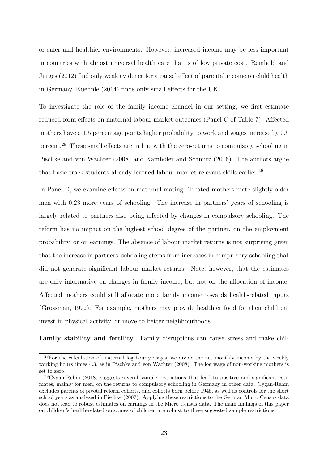or safer and healthier environments. However, increased income may be less important in countries with almost universal health care that is of low private cost. [Reinhold and](#page-38-10) Jürges [\(2012\)](#page-38-10) find only weak evidence for a causal effect of parental income on child health in Germany, [Kuehnle](#page-36-13) [\(2014\)](#page-36-13) finds only small effects for the UK.

To investigate the role of the family income channel in our setting, we first estimate reduced form effects on maternal labour market outcomes (Panel C of Table [7\)](#page-46-0). Affected mothers have a 1.5 percentage points higher probability to work and wages increase by 0.5 percent.[28](#page--1-0) These small effects are in line with the zero-returns to compulsory schooling in [Pischke and von Wachter](#page-38-5) [\(2008\)](#page-38-5) and Kamhöfer and Schmitz [\(2016\)](#page-36-8). The authors argue that basic track students already learned labour market-relevant skills earlier.<sup>[29](#page--1-0)</sup>

In Panel D, we examine effects on maternal mating. Treated mothers mate slightly older men with 0.23 more years of schooling. The increase in partners' years of schooling is largely related to partners also being affected by changes in compulsory schooling. The reform has no impact on the highest school degree of the partner, on the employment probability, or on earnings. The absence of labour market returns is not surprising given that the increase in partners' schooling stems from increases in compulsory schooling that did not generate significant labour market returns. Note, however, that the estimates are only informative on changes in family income, but not on the allocation of income. Affected mothers could still allocate more family income towards health-related inputs [\(Grossman,](#page-35-13) [1972\)](#page-35-13). For example, mothers may provide healthier food for their children, invest in physical activity, or move to better neighbourhoods.

Family stability and fertility. Family disruptions can cause stress and make chil-

<sup>&</sup>lt;sup>28</sup>For the calculation of maternal log hourly wages, we divide the net monthly income by the weekly working hours times 4.3, as in [Pischke and von Wachter](#page-38-5) [\(2008\)](#page-38-5). The log wage of non-working mothers is set to zero.

 $29Cygan-Rehm$  $29Cygan-Rehm$  [\(2018\)](#page-34-7) suggests several sample restrictions that lead to positive and significant estimates, mainly for men, on the returns to compulsory schooling in Germany in other data. [Cygan-Rehm](#page-34-7) excludes parents of pivotal reform cohorts, and cohorts born before 1945, as well as controls for the short school years as analysed in [Pischke](#page-37-12) [\(2007\)](#page-37-12). Applying these restrictions to the German Micro Census data does not lead to robust estimates on earnings in the Micro Census data. The main findings of this paper on children's health-related outcomes of children are robust to these suggested sample restrictions.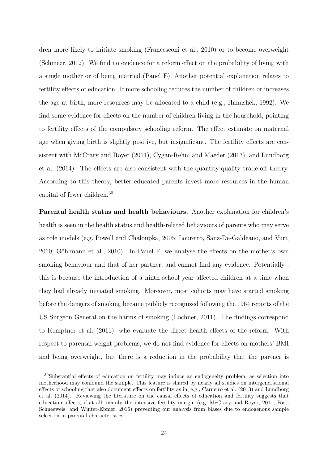dren more likely to initiate smoking [\(Francesconi et al.,](#page-35-7) [2010\)](#page-35-7) or to become overweight [\(Schmeer,](#page-38-4) [2012\)](#page-38-4). We find no evidence for a reform effect on the probability of living with a single mother or of being married (Panel E). Another potential explanation relates to fertility effects of education. If more schooling reduces the number of children or increases the age at birth, more resources may be allocated to a child (e.g., [Hanushek,](#page-35-8) [1992\)](#page-35-8). We find some evidence for effects on the number of children living in the household, pointing to fertility effects of the compulsory schooling reform. The effect estimate on maternal age when giving birth is slightly positive, but insignificant. The fertility effects are consistent with [McCrary and Royer](#page-37-2) [\(2011\)](#page-37-2), [Cygan-Rehm and Maeder](#page-34-8) [\(2013\)](#page-34-8), and [Lundborg](#page-37-3) [et al.](#page-37-3) [\(2014\)](#page-37-3). The effects are also consistent with the quantity-quality trade-off theory. According to this theory, better educated parents invest more resources in the human capital of fewer children.[30](#page--1-0)

Parental health status and health behaviours. Another explanation for children's health is seen in the health status and health-related behaviours of parents who may serve as role models (e.g. [Powell and Chaloupka,](#page-38-3) [2005;](#page-38-3) [Loureiro, Sanz-De-Galdeano, and Vuri,](#page-37-13)  $2010$ ; Göhlmann et al.,  $2010$ ). In Panel F, we analyse the effects on the mother's own smoking behaviour and that of her partner, and cannot find any evidence. Potentially , this is because the introduction of a ninth school year affected children at a time when they had already initiated smoking. Moreover, most cohorts may have started smoking before the dangers of smoking became publicly recognized following the 1964 reports of the US Surgeon General on the harms of smoking [\(Lochner,](#page-37-0) [2011\)](#page-37-0). The findings correspond to [Kemptner et al.](#page-36-9) [\(2011\)](#page-36-9), who evaluate the direct health effects of the reform. With respect to parental weight problems, we do not find evidence for effects on mothers' BMI and being overweight, but there is a reduction in the probability that the partner is

<sup>30</sup>Substantial effects of education on fertility may induce an endogeneity problem, as selection into motherhood may confound the sample. This feature is shared by nearly all studies on intergenerational effects of schooling that also document effects on fertility as in, e.g., [Carneiro et al.](#page-33-7) [\(2013\)](#page-33-7) and [Lundborg](#page-37-3) [et al.](#page-37-3) [\(2014\)](#page-37-3). Reviewing the literature on the causal effects of education and fertility suggests that education affects, if at all, mainly the intensive fertility margin (e.g. [McCrary and Royer,](#page-37-2) [2011;](#page-37-2) [Fort,](#page-35-14) [Schneeweis, and Winter-Ebmer,](#page-35-14) [2016\)](#page-35-14) preventing our analysis from biases due to endogenous sample selection in parental characteristics.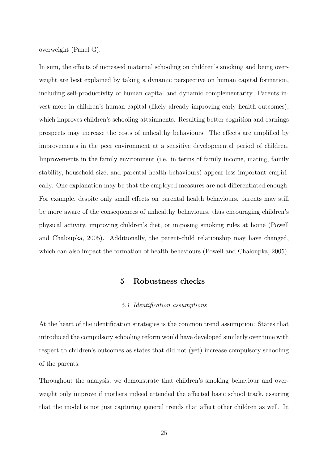overweight (Panel G).

In sum, the effects of increased maternal schooling on children's smoking and being overweight are best explained by taking a dynamic perspective on human capital formation, including self-productivity of human capital and dynamic complementarity. Parents invest more in children's human capital (likely already improving early health outcomes), which improves children's schooling attainments. Resulting better cognition and earnings prospects may increase the costs of unhealthy behaviours. The effects are amplified by improvements in the peer environment at a sensitive developmental period of children. Improvements in the family environment (i.e. in terms of family income, mating, family stability, household size, and parental health behaviours) appear less important empirically. One explanation may be that the employed measures are not differentiated enough. For example, despite only small effects on parental health behaviours, parents may still be more aware of the consequences of unhealthy behaviours, thus encouraging children's physical activity, improving children's diet, or imposing smoking rules at home [\(Powell](#page-38-3) [and Chaloupka,](#page-38-3) [2005\)](#page-38-3). Additionally, the parent-child relationship may have changed, which can also impact the formation of health behaviours [\(Powell and Chaloupka,](#page-38-3) [2005\)](#page-38-3).

## 5 Robustness checks

#### 5.1 Identification assumptions

<span id="page-27-0"></span>At the heart of the identification strategies is the common trend assumption: States that introduced the compulsory schooling reform would have developed similarly over time with respect to children's outcomes as states that did not (yet) increase compulsory schooling of the parents.

Throughout the analysis, we demonstrate that children's smoking behaviour and overweight only improve if mothers indeed attended the affected basic school track, assuring that the model is not just capturing general trends that affect other children as well. In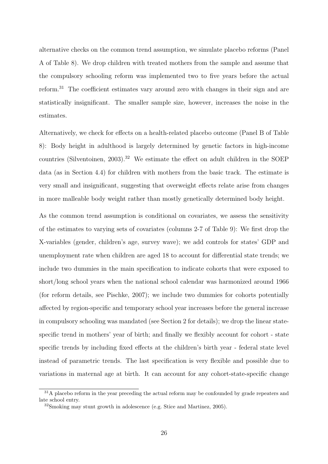alternative checks on the common trend assumption, we simulate placebo reforms (Panel A of Table [8\)](#page-47-0). We drop children with treated mothers from the sample and assume that the compulsory schooling reform was implemented two to five years before the actual reform.[31](#page--1-0) The coefficient estimates vary around zero with changes in their sign and are statistically insignificant. The smaller sample size, however, increases the noise in the estimates.

Alternatively, we check for effects on a health-related placebo outcome (Panel B of Table [8\)](#page-47-0): Body height in adulthood is largely determined by genetic factors in high-income countries [\(Silventoinen,](#page-38-13) [2003\)](#page-38-13).[32](#page--1-0) We estimate the effect on adult children in the SOEP data (as in Section [4.4\)](#page-20-0) for children with mothers from the basic track. The estimate is very small and insignificant, suggesting that overweight effects relate arise from changes in more malleable body weight rather than mostly genetically determined body height.

As the common trend assumption is conditional on covariates, we assess the sensitivity of the estimates to varying sets of covariates (columns 2-7 of Table [9\)](#page-48-0): We first drop the X-variables (gender, children's age, survey wave); we add controls for states' GDP and unemployment rate when children are aged 18 to account for differential state trends; we include two dummies in the main specification to indicate cohorts that were exposed to short/long school years when the national school calendar was harmonized around 1966 (for reform details, see [Pischke,](#page-37-12) [2007\)](#page-37-12); we include two dummies for cohorts potentially affected by region-specific and temporary school year increases before the general increase in compulsory schooling was mandated (see Section [2](#page-7-0) for details); we drop the linear statespecific trend in mothers' year of birth; and finally we flexibly account for cohort - state specific trends by including fixed effects at the children's birth year - federal state level instead of parametric trends. The last specification is very flexible and possible due to variations in maternal age at birth. It can account for any cohort-state-specific change

<sup>&</sup>lt;sup>31</sup>A placebo reform in the year preceding the actual reform may be confounded by grade repeaters and late school entry.

<sup>32</sup>Smoking may stunt growth in adolescence (e.g. [Stice and Martinez,](#page-39-6) [2005\)](#page-39-6).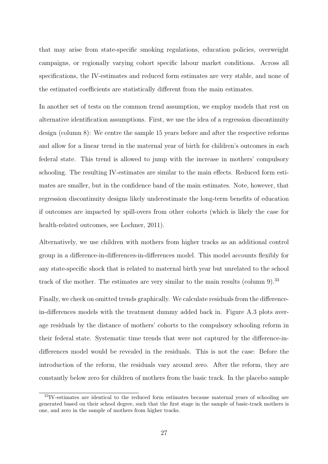that may arise from state-specific smoking regulations, education policies, overweight campaigns, or regionally varying cohort specific labour market conditions. Across all specifications, the IV-estimates and reduced form estimates are very stable, and none of the estimated coefficients are statistically different from the main estimates.

In another set of tests on the common trend assumption, we employ models that rest on alternative identification assumptions. First, we use the idea of a regression discontinuity design (column 8): We centre the sample 15 years before and after the respective reforms and allow for a linear trend in the maternal year of birth for children's outcomes in each federal state. This trend is allowed to jump with the increase in mothers' compulsory schooling. The resulting IV-estimates are similar to the main effects. Reduced form estimates are smaller, but in the confidence band of the main estimates. Note, however, that regression discontinuity designs likely underestimate the long-term benefits of education if outcomes are impacted by spill-overs from other cohorts (which is likely the case for health-related outcomes, see [Lochner,](#page-37-0) [2011\)](#page-37-0).

Alternatively, we use children with mothers from higher tracks as an additional control group in a difference-in-differences-in-differences model. This model accounts flexibly for any state-specific shock that is related to maternal birth year but unrelated to the school track of the mother. The estimates are very similar to the main results (column 9).<sup>[33](#page--1-0)</sup>

Finally, we check on omitted trends graphically. We calculate residuals from the differencein-differences models with the treatment dummy added back in. Figure [A.3](#page-51-0) plots average residuals by the distance of mothers' cohorts to the compulsory schooling reform in their federal state. Systematic time trends that were not captured by the difference-indifferences model would be revealed in the residuals. This is not the case: Before the introduction of the reform, the residuals vary around zero. After the reform, they are constantly below zero for children of mothers from the basic track. In the placebo sample

<sup>33</sup>IV-estimates are identical to the reduced form estimates because maternal years of schooling are generated based on their school degree, such that the first stage in the sample of basic-track mothers is one, and zero in the sample of mothers from higher tracks.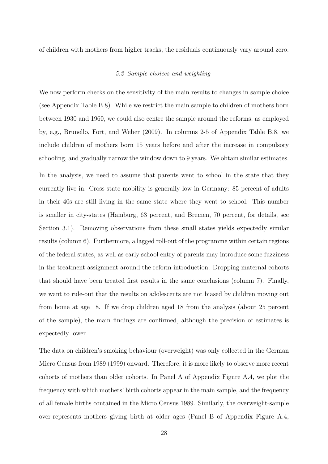<span id="page-30-0"></span>of children with mothers from higher tracks, the residuals continuously vary around zero.

#### 5.2 Sample choices and weighting

We now perform checks on the sensitivity of the main results to changes in sample choice (see Appendix Table [B.8\)](#page-58-0). While we restrict the main sample to children of mothers born between 1930 and 1960, we could also centre the sample around the reforms, as employed by, e.g., [Brunello, Fort, and Weber](#page-33-14) [\(2009\)](#page-33-14). In columns 2-5 of Appendix Table [B.8,](#page-58-0) we include children of mothers born 15 years before and after the increase in compulsory schooling, and gradually narrow the window down to 9 years. We obtain similar estimates.

In the analysis, we need to assume that parents went to school in the state that they currently live in. Cross-state mobility is generally low in Germany: 85 percent of adults in their 40s are still living in the same state where they went to school. This number is smaller in city-states (Hamburg, 63 percent, and Bremen, 70 percent, for details, see Section [3.1\)](#page-9-1). Removing observations from these small states yields expectedly similar results (column 6). Furthermore, a lagged roll-out of the programme within certain regions of the federal states, as well as early school entry of parents may introduce some fuzziness in the treatment assignment around the reform introduction. Dropping maternal cohorts that should have been treated first results in the same conclusions (column 7). Finally, we want to rule-out that the results on adolescents are not biased by children moving out from home at age 18. If we drop children aged 18 from the analysis (about 25 percent of the sample), the main findings are confirmed, although the precision of estimates is expectedly lower.

The data on children's smoking behaviour (overweight) was only collected in the German Micro Census from 1989 (1999) onward. Therefore, it is more likely to observe more recent cohorts of mothers than older cohorts. In Panel A of Appendix Figure [A.4,](#page-52-0) we plot the frequency with which mothers' birth cohorts appear in the main sample, and the frequency of all female births contained in the Micro Census 1989. Similarly, the overweight-sample over-represents mothers giving birth at older ages (Panel B of Appendix Figure [A.4,](#page-52-0)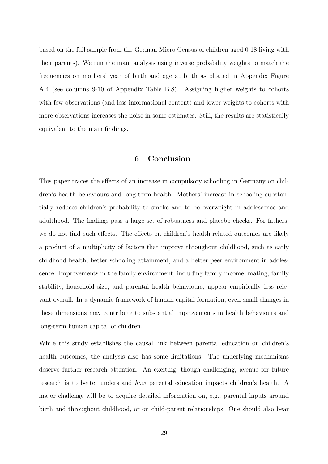based on the full sample from the German Micro Census of children aged 0-18 living with their parents). We run the main analysis using inverse probability weights to match the frequencies on mothers' year of birth and age at birth as plotted in Appendix Figure [A.4](#page-52-0) (see columns 9-10 of Appendix Table [B.8\)](#page-58-0). Assigning higher weights to cohorts with few observations (and less informational content) and lower weights to cohorts with more observations increases the noise in some estimates. Still, the results are statistically equivalent to the main findings.

## 6 Conclusion

<span id="page-31-0"></span>This paper traces the effects of an increase in compulsory schooling in Germany on children's health behaviours and long-term health. Mothers' increase in schooling substantially reduces children's probability to smoke and to be overweight in adolescence and adulthood. The findings pass a large set of robustness and placebo checks. For fathers, we do not find such effects. The effects on children's health-related outcomes are likely a product of a multiplicity of factors that improve throughout childhood, such as early childhood health, better schooling attainment, and a better peer environment in adolescence. Improvements in the family environment, including family income, mating, family stability, household size, and parental health behaviours, appear empirically less relevant overall. In a dynamic framework of human capital formation, even small changes in these dimensions may contribute to substantial improvements in health behaviours and long-term human capital of children.

While this study establishes the causal link between parental education on children's health outcomes, the analysis also has some limitations. The underlying mechanisms deserve further research attention. An exciting, though challenging, avenue for future research is to better understand how parental education impacts children's health. A major challenge will be to acquire detailed information on, e.g., parental inputs around birth and throughout childhood, or on child-parent relationships. One should also bear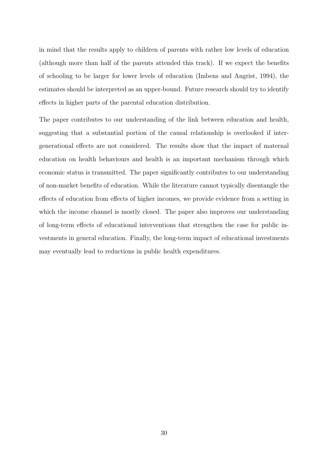in mind that the results apply to children of parents with rather low levels of education (although more than half of the parents attended this track). If we expect the benefits of schooling to be larger for lower levels of education [\(Imbens and Angrist,](#page-36-12) [1994\)](#page-36-12), the estimates should be interpreted as an upper-bound. Future research should try to identify effects in higher parts of the parental education distribution.

The paper contributes to our understanding of the link between education and health, suggesting that a substantial portion of the causal relationship is overlooked if intergenerational effects are not considered. The results show that the impact of maternal education on health behaviours and health is an important mechanism through which economic status is transmitted. The paper significantly contributes to our understanding of non-market benefits of education. While the literature cannot typically disentangle the effects of education from effects of higher incomes, we provide evidence from a setting in which the income channel is mostly closed. The paper also improves our understanding of long-term effects of educational interventions that strengthen the case for public investments in general education. Finally, the long-term impact of educational investments may eventually lead to reductions in public health expenditures.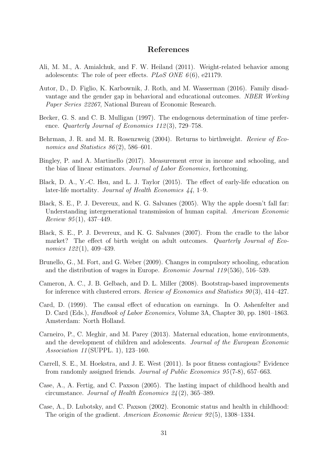### References

- <span id="page-33-13"></span>Ali, M. M., A. Amialchuk, and F. W. Heiland (2011). Weight-related behavior among adolescents: The role of peer effects.  $PLoS$  ONE  $6(6)$ , e21179.
- <span id="page-33-11"></span>Autor, D., D. Figlio, K. Karbownik, J. Roth, and M. Wasserman (2016). Family disadvantage and the gender gap in behavioral and educational outcomes. NBER Working Paper Series 22267, National Bureau of Economic Research.
- <span id="page-33-2"></span>Becker, G. S. and C. B. Mulligan (1997). The endogenous determination of time preference. *Quarterly Journal of Economics 112(3)*, 729–758.
- <span id="page-33-3"></span>Behrman, J. R. and M. R. Rosenzweig (2004). Returns to birthweight. Review of Economics and Statistics  $86(2)$ , 586–601.
- <span id="page-33-10"></span>Bingley, P. and A. Martinello (2017). Measurement error in income and schooling, and the bias of linear estimators. Journal of Labor Economics, forthcoming.
- <span id="page-33-0"></span>Black, D. A., Y.-C. Hsu, and L. J. Taylor (2015). The effect of early-life education on later-life mortality. Journal of Health Economics 44, 1–9.
- <span id="page-33-8"></span>Black, S. E., P. J. Devereux, and K. G. Salvanes (2005). Why the apple doesn't fall far: Understanding intergenerational transmission of human capital. American Economic Review  $95(1)$ , 437-449.
- <span id="page-33-4"></span>Black, S. E., P. J. Devereux, and K. G. Salvanes (2007). From the cradle to the labor market? The effect of birth weight on adult outcomes. Quarterly Journal of Economics 122(1), 409–439.
- <span id="page-33-14"></span>Brunello, G., M. Fort, and G. Weber (2009). Changes in compulsory schooling, education and the distribution of wages in Europe. Economic Journal 119 (536), 516–539.
- <span id="page-33-9"></span>Cameron, A. C., J. B. Gelbach, and D. L. Miller (2008). Bootstrap-based improvements for inference with clustered errors. Review of Economics and Statistics  $90(3)$ , 414–427.
- <span id="page-33-6"></span>Card, D. (1999). The causal effect of education on earnings. In O. Ashenfelter and D. Card (Eds.), Handbook of Labor Economics, Volume 3A, Chapter 30, pp. 1801–1863. Amsterdam: North Holland.
- <span id="page-33-7"></span>Carneiro, P., C. Meghir, and M. Parey (2013). Maternal education, home environments, and the development of children and adolescents. Journal of the European Economic Association 11 (SUPPL. 1), 123–160.
- <span id="page-33-12"></span>Carrell, S. E., M. Hoekstra, and J. E. West (2011). Is poor fitness contagious? Evidence from randomly assigned friends. Journal of Public Economics 95 (7-8), 657–663.
- <span id="page-33-5"></span>Case, A., A. Fertig, and C. Paxson (2005). The lasting impact of childhood health and circumstance. Journal of Health Economics 24 (2), 365–389.
- <span id="page-33-1"></span>Case, A., D. Lubotsky, and C. Paxson (2002). Economic status and health in childhood: The origin of the gradient. American Economic Review 92 (5), 1308–1334.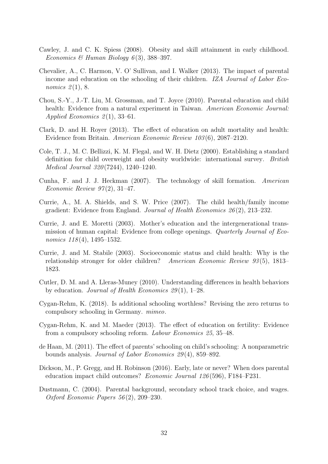- <span id="page-34-10"></span>Cawley, J. and C. K. Spiess (2008). Obesity and skill attainment in early childhood. Economics & Human Biology  $6(3)$ , 388-397.
- <span id="page-34-14"></span>Chevalier, A., C. Harmon, V. O' Sullivan, and I. Walker (2013). The impact of parental income and education on the schooling of their children. IZA Journal of Labor Economics  $2(1)$ , 8.
- <span id="page-34-5"></span>Chou, S.-Y., J.-T. Liu, M. Grossman, and T. Joyce (2010). Parental education and child health: Evidence from a natural experiment in Taiwan. American Economic Journal: Applied Economics  $2(1)$ , 33–61.
- <span id="page-34-0"></span>Clark, D. and H. Royer (2013). The effect of education on adult mortality and health: Evidence from Britain. American Economic Review 103 (6), 2087–2120.
- <span id="page-34-11"></span>Cole, T. J., M. C. Bellizzi, K. M. Flegal, and W. H. Dietz (2000). Establishing a standard definition for child overweight and obesity worldwide: international survey. British Medical Journal 320 (7244), 1240–1240.
- <span id="page-34-12"></span>Cunha, F. and J. J. Heckman (2007). The technology of skill formation. American Economic Review  $97(2)$ , 31–47.
- <span id="page-34-2"></span>Currie, A., M. A. Shields, and S. W. Price (2007). The child health/family income gradient: Evidence from England. Journal of Health Economics  $26(2)$ , 213–232.
- <span id="page-34-4"></span>Currie, J. and E. Moretti (2003). Mother's education and the intergenerational transmission of human capital: Evidence from college openings. Quarterly Journal of Economics  $118(4)$ , 1495–1532.
- <span id="page-34-1"></span>Currie, J. and M. Stabile (2003). Socioeconomic status and child health: Why is the relationship stronger for older children? American Economic Review 93 (5), 1813– 1823.
- <span id="page-34-3"></span>Cutler, D. M. and A. Lleras-Muney (2010). Understanding differences in health behaviors by education. Journal of Health Economics 29 (1), 1–28.
- <span id="page-34-7"></span>Cygan-Rehm, K. (2018). Is additional schooling worthless? Revising the zero returns to compulsory schooling in Germany. mimeo.
- <span id="page-34-8"></span>Cygan-Rehm, K. and M. Maeder (2013). The effect of education on fertility: Evidence from a compulsory schooling reform. Labour Economics 25, 35–48.
- <span id="page-34-13"></span>de Haan, M. (2011). The effect of parents' schooling on child's schooling: A nonparametric bounds analysis. Journal of Labor Economics 29 (4), 859–892.
- <span id="page-34-6"></span>Dickson, M., P. Gregg, and H. Robinson (2016). Early, late or never? When does parental education impact child outcomes? Economic Journal 126 (596), F184–F231.
- <span id="page-34-9"></span>Dustmann, C. (2004). Parental background, secondary school track choice, and wages. Oxford Economic Papers 56 (2), 209–230.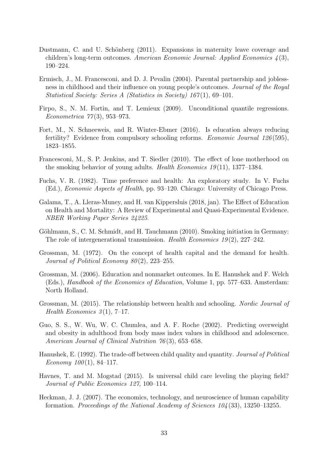- <span id="page-35-12"></span>Dustmann, C. and U. Schönberg (2011). Expansions in maternity leave coverage and children's long-term outcomes. American Economic Journal: Applied Economics 4 (3), 190–224.
- <span id="page-35-6"></span>Ermisch, J., M. Francesconi, and D. J. Pevalin (2004). Parental partnership and joblessness in childhood and their influence on young people's outcomes. Journal of the Royal Statistical Society: Series A (Statistics in Society) 167(1), 69–101.
- <span id="page-35-9"></span>Firpo, S., N. M. Fortin, and T. Lemieux (2009). Unconditional quantile regressions. Econometrica 77 (3), 953–973.
- <span id="page-35-14"></span>Fort, M., N. Schneeweis, and R. Winter-Ebmer (2016). Is education always reducing fertility? Evidence from compulsory schooling reforms. Economic Journal 126 (595), 1823–1855.
- <span id="page-35-7"></span>Francesconi, M., S. P. Jenkins, and T. Siedler (2010). The effect of lone motherhood on the smoking behavior of young adults. Health Economics  $19(11)$ , 1377–1384.
- <span id="page-35-5"></span>Fuchs, V. R. (1982). Time preference and health: An exploratory study. In V. Fuchs (Ed.), Economic Aspects of Health, pp. 93–120. Chicago: University of Chicago Press.
- <span id="page-35-2"></span>Galama, T., A. Lleras-Muney, and H. van Kippersluis (2018, jan). The Effect of Education on Health and Mortality: A Review of Experimental and Quasi-Experimental Evidence. NBER Working Paper Series 24225.
- <span id="page-35-4"></span>Göhlmann, S., C. M. Schmidt, and H. Tauchmann (2010). Smoking initiation in Germany: The role of intergenerational transmission. Health Economics  $19(2)$ ,  $227-242$ .
- <span id="page-35-13"></span>Grossman, M. (1972). On the concept of health capital and the demand for health. Journal of Political Economy 80 (2), 223–255.
- <span id="page-35-0"></span>Grossman, M. (2006). Education and nonmarket outcomes. In E. Hanushek and F. Welch (Eds.), Handbook of the Economics of Education, Volume 1, pp. 577–633. Amsterdam: North Holland.
- <span id="page-35-1"></span>Grossman, M. (2015). The relationship between health and schooling. Nordic Journal of Health Economics  $3(1)$ , 7-17.
- <span id="page-35-3"></span>Guo, S. S., W. Wu, W. C. Chumlea, and A. F. Roche (2002). Predicting overweight and obesity in adulthood from body mass index values in childhood and adolescence. American Journal of Clinical Nutrition 76(3), 653–658.
- <span id="page-35-8"></span>Hanushek, E. (1992). The trade-off between child quality and quantity. Journal of Political Economy  $100(1)$ , 84-117.
- <span id="page-35-10"></span>Havnes, T. and M. Mogstad (2015). Is universal child care leveling the playing field? Journal of Public Economics 127, 100–114.
- <span id="page-35-11"></span>Heckman, J. J. (2007). The economics, technology, and neuroscience of human capability formation. Proceedings of the National Academy of Sciences 104 (33), 13250–13255.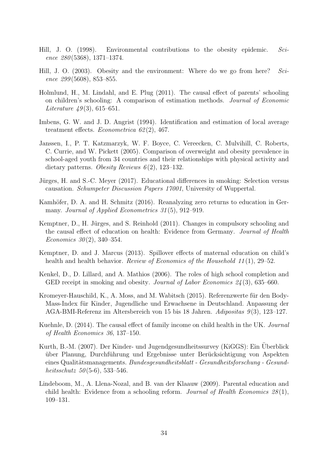- <span id="page-36-1"></span>Hill, J. O. (1998). Environmental contributions to the obesity epidemic. Science 280 (5368), 1371–1374.
- <span id="page-36-2"></span>Hill, J. O. (2003). Obesity and the environment: Where do we go from here? Science  $299(5608)$ , 853–855.
- <span id="page-36-4"></span>Holmlund, H., M. Lindahl, and E. Plug (2011). The causal effect of parents' schooling on children's schooling: A comparison of estimation methods. Journal of Economic Literature  $49(3)$ , 615–651.
- <span id="page-36-12"></span>Imbens, G. W. and J. D. Angrist (1994). Identification and estimation of local average treatment effects. Econometrica  $62(2)$ , 467.
- <span id="page-36-3"></span>Janssen, I., P. T. Katzmarzyk, W. F. Boyce, C. Vereecken, C. Mulvihill, C. Roberts, C. Currie, and W. Pickett (2005). Comparison of overweight and obesity prevalence in school-aged youth from 34 countries and their relationships with physical activity and dietary patterns. Obesity Reviews  $6(2)$ , 123–132.
- <span id="page-36-0"></span>Jürges, H. and S.-C. Meyer (2017). Educational differences in smoking: Selection versus causation. Schumpeter Discussion Papers 17001, University of Wuppertal.
- <span id="page-36-8"></span>Kamhöfer, D. A. and H. Schmitz (2016). Reanalyzing zero returns to education in Germany. Journal of Applied Econometrics 31(5), 912–919.
- <span id="page-36-9"></span>Kemptner, D., H. Jürges, and S. Reinhold (2011). Changes in compulsory schooling and the causal effect of education on health: Evidence from Germany. Journal of Health Economics  $30(2)$ , 340–354.
- <span id="page-36-6"></span>Kemptner, D. and J. Marcus (2013). Spillover effects of maternal education on child's health and health behavior. Review of Economics of the Household  $11(1)$ , 29–52.
- <span id="page-36-7"></span>Kenkel, D., D. Lillard, and A. Mathios (2006). The roles of high school completion and GED receipt in smoking and obesity. *Journal of Labor Economics*  $24(3)$ , 635–660.
- <span id="page-36-10"></span>Kromeyer-Hauschild, K., A. Moss, and M. Wabitsch (2015). Referenzwerte für den Body-Mass-Index für Kinder, Jugendliche und Erwachsene in Deutschland. Anpassung der AGA-BMI-Referenz im Altersbereich von 15 bis 18 Jahren. Adipositas 9 (3), 123–127.
- <span id="page-36-13"></span>Kuehnle, D. (2014). The causal effect of family income on child health in the UK. Journal of Health Economics 36, 137–150.
- <span id="page-36-11"></span>Kurth, B.-M. (2007). Der Kinder- und Jugendgesundheitssurvey (KiGGS): Ein Uberblick ¨ ¨uber Planung, Durchf¨uhrung und Ergebnisse unter Ber¨ucksichtigung von Aspekten eines Qualitätsmanagements. Bundesgesundheitsblatt - Gesundheitsforschung - Gesundheitsschutz  $50(5-6)$ , 533–546.
- <span id="page-36-5"></span>Lindeboom, M., A. Llena-Nozal, and B. van der Klaauw (2009). Parental education and child health: Evidence from a schooling reform. Journal of Health Economics  $28(1)$ , 109–131.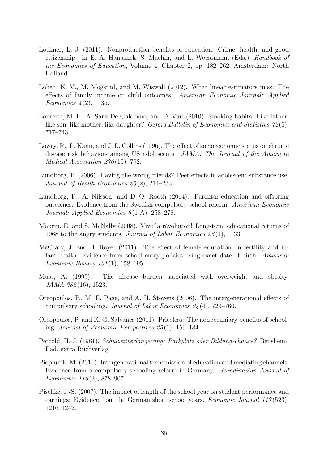- <span id="page-37-0"></span>Lochner, L. J. (2011). Nonproduction benefits of education: Crime, health, and good citizenship. In E. A. Hanushek, S. Machin, and L. Woessmann (Eds.), Handbook of the Economics of Education, Volume 4, Chapter 2, pp. 182–262. Amsterdam: North Holland.
- <span id="page-37-9"></span>Løken, K. V., M. Mogstad, and M. Wiswall (2012). What linear estimators miss: The effects of family income on child outcomes. American Economic Journal: Applied *Economics*  $4(2)$ , 1–35.
- <span id="page-37-13"></span>Loureiro, M. L., A. Sanz-De-Galdeano, and D. Vuri (2010). Smoking habits: Like father, like son, like mother, like daughter? Oxford Bulletin of Economics and Statistics 72 (6), 717–743.
- <span id="page-37-4"></span>Lowry, R., L. Kann, and J. L. Collins (1996). The effect of socioeconomic status on chronic disease risk behaviors among US adolescents. JAMA: The Journal of the American Medical Association 276 (10), 792.
- <span id="page-37-11"></span>Lundborg, P. (2006). Having the wrong friends? Peer effects in adolescent substance use. Journal of Health Economics 25 (2), 214–233.
- <span id="page-37-3"></span>Lundborg, P., A. Nilsson, and D.-O. Rooth (2014). Parental education and offspring outcomes: Evidence from the Swedish compulsory school reform. American Economic Journal: Applied Economics  $6(1 \text{ A})$ , 253–278.
- <span id="page-37-10"></span>Maurin, E. and S. McNally (2008). Vive la révolution! Long-term educational returns of 1968 to the angry students. Journal of Labor Economics  $26(1)$ , 1–33.
- <span id="page-37-2"></span>McCrary, J. and H. Royer (2011). The effect of female education on fertility and infant health: Evidence from school entry policies using exact date of birth. American Economic Review 101 (1), 158–195.
- <span id="page-37-1"></span>Must, A. (1999). The disease burden associated with overweight and obesity. JAMA 282(16), 1523.
- <span id="page-37-6"></span>Oreopoulos, P., M. E. Page, and A. H. Stevens (2006). The intergenerational effects of compulsory schooling. Journal of Labor Economics 24 (4), 729–760.
- <span id="page-37-5"></span>Oreopoulos, P. and K. G. Salvanes (2011). Priceless: The nonpecuniary benefits of schooling. Journal of Economic Perspectives 25 (1), 159–184.
- <span id="page-37-8"></span>Petzold, H.-J. (1981). Schulzeitverlängerung: Parkplatz oder Bildungschance? Bensheim: Päd. extra Buchverlag.
- <span id="page-37-7"></span>Piopiunik, M. (2014). Intergenerational transmission of education and mediating channels: Evidence from a compulsory schooling reform in Germany. Scandinavian Journal of Economics 116 (3), 878–907.
- <span id="page-37-12"></span>Pischke, J.-S. (2007). The impact of length of the school year on student performance and earnings: Evidence from the German short school years. *Economic Journal 117*(523), 1216–1242.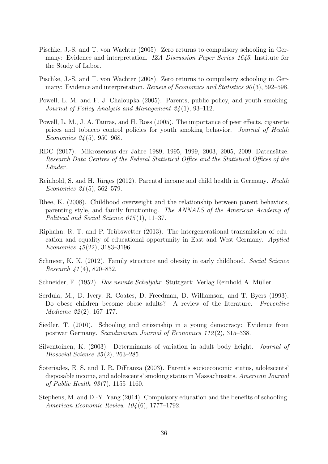- <span id="page-38-14"></span>Pischke, J.-S. and T. von Wachter (2005). Zero returns to compulsory schooling in Germany: Evidence and interpretation. IZA Discussion Paper Series 1645, Institute for the Study of Labor.
- <span id="page-38-5"></span>Pischke, J.-S. and T. von Wachter (2008). Zero returns to compulsory schooling in Germany: Evidence and interpretation. Review of Economics and Statistics 90(3), 592–598.
- <span id="page-38-3"></span>Powell, L. M. and F. J. Chaloupka (2005). Parents, public policy, and youth smoking. Journal of Policy Analysis and Management 24 (1), 93–112.
- <span id="page-38-12"></span>Powell, L. M., J. A. Tauras, and H. Ross (2005). The importance of peer effects, cigarette prices and tobacco control policies for youth smoking behavior. Journal of Health Economics 24 (5), 950–968.
- <span id="page-38-8"></span>RDC (2017). Mikrozensus der Jahre 1989, 1995, 1999, 2003, 2005, 2009. Datensätze. Research Data Centres of the Federal Statistical Office and the Statistical Offices of the Länder.
- <span id="page-38-10"></span>Reinhold, S. and H. Jürges (2012). Parental income and child health in Germany. *Health* Economics 21(5), 562–579.
- <span id="page-38-1"></span>Rhee, K. (2008). Childhood overweight and the relationship between parent behaviors, parenting style, and family functioning. The ANNALS of the American Academy of Political and Social Science 615(1), 11–37.
- <span id="page-38-9"></span>Riphahn, R. T. and P. Trübswetter  $(2013)$ . The intergenerational transmission of education and equality of educational opportunity in East and West Germany. Applied Economics  $45(22)$ , 3183-3196.
- <span id="page-38-4"></span>Schmeer, K. K. (2012). Family structure and obesity in early childhood. Social Science Research  $41(4)$ , 820–832.
- <span id="page-38-7"></span>Schneider, F. (1952). Das neunte Schuljahr. Stuttgart: Verlag Reinhold A. Müller.
- <span id="page-38-0"></span>Serdula, M., D. Ivery, R. Coates, D. Freedman, D. Williamson, and T. Byers (1993). Do obese children become obese adults? A review of the literature. *Preventive* Medicine 22 (2), 167–177.
- <span id="page-38-6"></span>Siedler, T. (2010). Schooling and citizenship in a young democracy: Evidence from postwar Germany. Scandinavian Journal of Economics 112 (2), 315–338.
- <span id="page-38-13"></span>Silventoinen, K. (2003). Determinants of variation in adult body height. Journal of Biosocial Science 35 (2), 263–285.
- <span id="page-38-2"></span>Soteriades, E. S. and J. R. DiFranza (2003). Parent's socioeconomic status, adolescents' disposable income, and adolescents' smoking status in Massachusetts. American Journal of Public Health  $93(7)$ , 1155–1160.
- <span id="page-38-11"></span>Stephens, M. and D.-Y. Yang (2014). Compulsory education and the benefits of schooling. American Economic Review 104 (6), 1777–1792.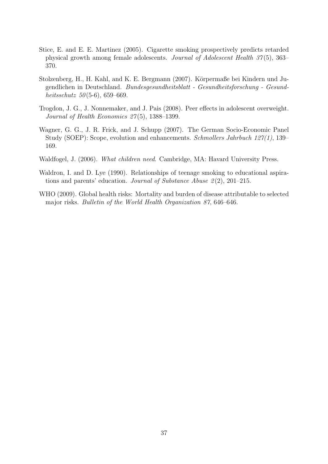- <span id="page-39-6"></span>Stice, E. and E. E. Martinez (2005). Cigarette smoking prospectively predicts retarded physical growth among female adolescents. Journal of Adolescent Health 37 (5), 363– 370.
- <span id="page-39-3"></span>Stolzenberg, H., H. Kahl, and K. E. Bergmann (2007). Körpermaße bei Kindern und Jugendlichen in Deutschland. Bundesgesundheitsblatt - Gesundheitsforschung - Gesundheitsschutz  $50(5-6)$ , 659–669.
- <span id="page-39-5"></span>Trogdon, J. G., J. Nonnemaker, and J. Pais (2008). Peer effects in adolescent overweight. Journal of Health Economics  $27(5)$ , 1388-1399.
- <span id="page-39-2"></span>Wagner, G. G., J. R. Frick, and J. Schupp (2007). The German Socio-Economic Panel Study (SOEP): Scope, evolution and enhancements. Schmollers Jahrbuch 127(1), 139– 169.
- <span id="page-39-4"></span>Waldfogel, J. (2006). What children need. Cambridge, MA: Havard University Press.
- <span id="page-39-1"></span>Waldron, I. and D. Lye (1990). Relationships of teenage smoking to educational aspirations and parents' education. Journal of Substance Abuse  $2(2)$ , 201–215.
- <span id="page-39-0"></span>WHO (2009). Global health risks: Mortality and burden of disease attributable to selected major risks. Bulletin of the World Health Organization 87, 646–646.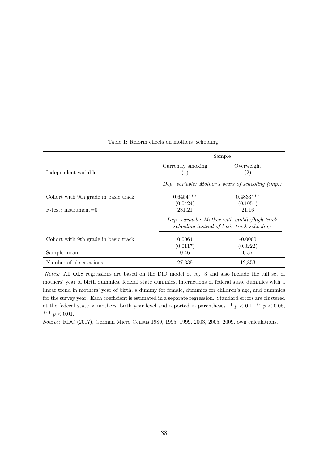<span id="page-40-0"></span>

|                                      |                          | Sample                                                                                     |
|--------------------------------------|--------------------------|--------------------------------------------------------------------------------------------|
| Independent variable                 | Currently smoking<br>(1) | Overweight<br>(2)                                                                          |
|                                      |                          | Dep. variable: Mother's years of schooling (imp.)                                          |
| Cohort with 9th grade in basic track | $0.6454***$<br>(0.0424)  | $0.4833***$<br>(0.1051)                                                                    |
| $F-test:$ instrument=0               | 231.21                   | 21.16                                                                                      |
|                                      |                          | Dep. variable: Mother with middle/high track<br>schooling instead of basic track schooling |
| Cohort with 9th grade in basic track | 0.0064<br>(0.0117)       | $-0.0000$<br>(0.0222)                                                                      |
| Sample mean                          | 0.46                     | 0.57                                                                                       |
| Number of observations               | 27,339                   | 12,853                                                                                     |

Table 1: Reform effects on mothers' schooling

Notes: All OLS regressions are based on the DiD model of eq. [3](#page-14-0) and also include the full set of mothers' year of birth dummies, federal state dummies, interactions of federal state dummies with a linear trend in mothers' year of birth, a dummy for female, dummies for children's age, and dummies for the survey year. Each coefficient is estimated in a separate regression. Standard errors are clustered at the federal state  $\times$  mothers' birth year level and reported in parentheses. \*  $p < 0.1$ , \*\*  $p < 0.05$ , \*\*\*  $p < 0.01$ .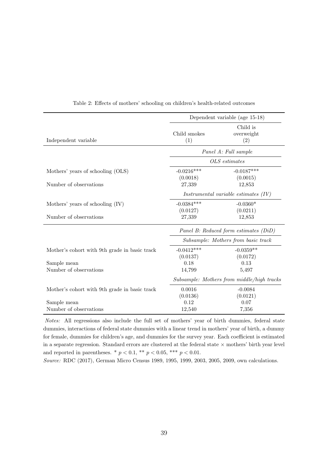<span id="page-41-0"></span>

|                                                             |                                    | Dependent variable (age 15-18)             |
|-------------------------------------------------------------|------------------------------------|--------------------------------------------|
| Independent variable                                        | Child smokes<br>(1)                | Child is<br>overweight<br>(2)              |
|                                                             |                                    | Panel A: Full sample                       |
|                                                             |                                    | OLS estimates                              |
| Mothers' years of schooling (OLS)<br>Number of observations | $-0.0216***$<br>(0.0018)<br>27,339 | $-0.0187***$<br>(0.0015)<br>12,853         |
|                                                             |                                    | Instrumental variable estimates $(IV)$     |
| Mothers' years of schooling (IV)                            | $-0.0384***$<br>(0.0127)           | $-0.0360*$<br>(0.0211)                     |
| Number of observations                                      | 27,339                             | 12,853                                     |
|                                                             |                                    | Panel B: Reduced form estimates (DiD)      |
|                                                             |                                    | Subsample: Mothers from basic track        |
| Mother's cohort with 9th grade in basic track               | $-0.0412***$                       | $-0.0359**$                                |
|                                                             | (0.0137)                           | (0.0172)                                   |
| Sample mean                                                 | 0.18                               | 0.13                                       |
| Number of observations                                      | 14,799                             | 5,497                                      |
|                                                             |                                    | Subsample: Mothers from middle/high tracks |
| Mother's cohort with 9th grade in basic track               | 0.0016                             | $-0.0084$                                  |
|                                                             | (0.0136)                           | (0.0121)                                   |
| Sample mean                                                 | 0.12                               | 0.07                                       |
| Number of observations                                      | 12,540                             | 7,356                                      |

Notes: All regressions also include the full set of mothers' year of birth dummies, federal state dummies, interactions of federal state dummies with a linear trend in mothers' year of birth, a dummy for female, dummies for children's age, and dummies for the survey year. Each coefficient is estimated in a separate regression. Standard errors are clustered at the federal state  $\times$  mothers' birth year level and reported in parentheses. \*  $p < 0.1$ , \*\*  $p < 0.05$ , \*\*\*  $p < 0.01$ .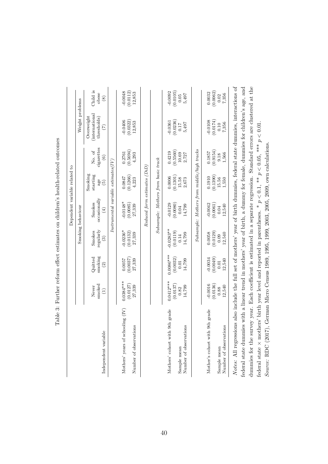<span id="page-42-0"></span>

|                                                                                                                                                                                                                                                                                                                                                                                     |                                           |                                           |                                               | Dependent variable related to                  |                                               |                                           |                                                   |                                        |
|-------------------------------------------------------------------------------------------------------------------------------------------------------------------------------------------------------------------------------------------------------------------------------------------------------------------------------------------------------------------------------------|-------------------------------------------|-------------------------------------------|-----------------------------------------------|------------------------------------------------|-----------------------------------------------|-------------------------------------------|---------------------------------------------------|----------------------------------------|
|                                                                                                                                                                                                                                                                                                                                                                                     |                                           |                                           |                                               | Smoking behaviour                              |                                               |                                           | Weight problems                                   |                                        |
| Independent variable                                                                                                                                                                                                                                                                                                                                                                | smoked<br>Never<br>$\widehat{\Xi}$        | smoking<br>Quitted<br>$\widehat{c}$       | regularly<br>Smokes<br>$\widehat{\mathbf{e}}$ | occasionally<br>Smokes<br>$\left( \pm \right)$ | Smoking<br>starting<br>age<br>$\widetilde{5}$ | cigarettes<br>No. of<br>$\widehat{\circ}$ | (international)<br>Overweight<br>thresholds)<br>E | Child is<br>obese<br>$\circledast$     |
|                                                                                                                                                                                                                                                                                                                                                                                     |                                           |                                           |                                               | $Instrumental variable \ estimates(IV)$        |                                               |                                           |                                                   |                                        |
| Mothers' years of schooling (IV)<br>Number of observations                                                                                                                                                                                                                                                                                                                          | $0.0384***$<br>(0.0127)<br>27,339         | (0.0037)<br>0.0057<br>27,339              | $-0.0236*$<br>(0.0132)<br>27,339              | $-0.0148*$<br>(0.0085)<br>27,339               | (0.1266)<br>0.0847<br>4,223                   | (0.5694)<br>0.2761<br>4.293               | (0.0322)<br>$-0.0406$<br>12,853                   | $-0.0048$<br>(0.0112)<br>12,853        |
|                                                                                                                                                                                                                                                                                                                                                                                     |                                           |                                           |                                               | $Reduced form \; estimates \; (DiD)$           |                                               |                                           |                                                   |                                        |
|                                                                                                                                                                                                                                                                                                                                                                                     |                                           |                                           |                                               | Subsample: Mothers from basic track            |                                               |                                           |                                                   |                                        |
| 9th grade<br>Number of observations<br>Mothers' cohort with<br>Sample mean                                                                                                                                                                                                                                                                                                          | $0.0412***$<br>(0.0137)<br>14,799<br>0.82 | $0.0086***$<br>(0.0032)<br>14,799<br>0.01 | $-0.0283**$<br>(0.0119)<br>14,799<br>0.14     | (0.0080)<br>$-0.0129$<br>14,799<br>0.04        | (0.1301)<br>0.0006<br>15.58<br>2,673          | (0.5560)<br>0.4219<br>10.69<br>2,727      | (0.0236)<br>$-0.0361$<br>5,497<br>0.17            | $-0.0092$<br>(0.0105)<br>5,497<br>0.05 |
|                                                                                                                                                                                                                                                                                                                                                                                     |                                           |                                           |                                               | $Subsample: Mothers from middle/high tracks$   |                                               |                                           |                                                   |                                        |
| Mother's cohort with 9th grade<br>Number of observations<br>Sample mean                                                                                                                                                                                                                                                                                                             | $-0.0016$<br>(0.0136)<br>12,540<br>0.88   | (0.0049)<br>$-0.0034$<br>12,540<br>0.01   | (0.0129)<br>12,540<br>0.0058<br>0.09          | $-0.0042$<br>(0.0061)<br>12,540<br>0.04        | (0.1390)<br>0.1910<br>15.56<br>1,550          | (0.9154)<br>0.1857<br>1,566<br>9.18       | (0.0174)<br>$-0.0108$<br>7,356<br>0.10            | (0.0062)<br>0.0032<br>7,356<br>0.02    |
| Notes: All regressions also include the full set of mothers' year of birth dummies, federal state dummies, interactions of<br>dummies for the survey year. Each coefficient is estimated in a semarate regression. Standard errors are clustered at the<br>federal state dummies with a linear trend in mothers' year of birth, a dummy for female, dummies for children's age, and |                                           |                                           |                                               |                                                |                                               |                                           |                                                   |                                        |

Table 3: Further reform effect estimates on children's health-related outcomes Table 3: Further reform effect estimates on children's health-related outcomes

dummies for the survey year. Each coefficient is estimated in a separate regression. Standard errors are clustered at the ed at the dumines for the survey year. Each coefficient is estimated in a separate regression. Standard errors are cl x mothers' birth year level and reported in parentheses. \*  $p < 0.1$ , \*\*  $p < 0.05$ , \*\*\*  $p < 0.01$ . ×federal state  $\mathbf{I}$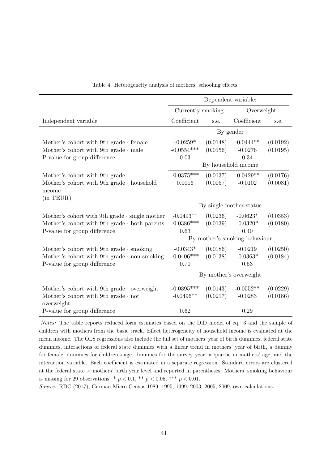<span id="page-43-0"></span>

|                                                      |                   | Dependent variable: |                               |          |
|------------------------------------------------------|-------------------|---------------------|-------------------------------|----------|
|                                                      | Currently smoking |                     | Overweight                    |          |
| Independent variable                                 | Coefficient       | s.e.                | Coefficient                   | s.e.     |
|                                                      |                   | By gender           |                               |          |
| Mother's cohort with 9th grade $\cdot$ female        | $-0.0259*$        | (0.0148)            | $-0.0444**$                   | (0.0192) |
| Mother's cohort with 9th grade $\cdot$ male          | $-0.0554***$      | (0.0156)            | $-0.0276$                     | (0.0195) |
| P-value for group difference                         | 0.03              |                     | 0.34                          |          |
|                                                      |                   |                     | By household income           |          |
| Mother's cohort with 9th grade                       | $-0.0375***$      | (0.0137)            | $-0.0429**$                   | (0.0176) |
| Mother's cohort with 9th grade $\cdot$ household     | 0.0016            | (0.0057)            | $-0.0102$                     | (0.0081) |
| income                                               |                   |                     |                               |          |
| (in <b>TEUR)</b> )                                   |                   |                     |                               |          |
|                                                      |                   |                     | By single mother status       |          |
| Mother's cohort with 9th grade $\cdot$ single mother | $-0.0493**$       | (0.0236)            | $-0.0623*$                    | (0.0353) |
| Mother's cohort with 9th grade $\cdot$ both parents  | $-0.0386***$      | (0.0139)            | $-0.0320*$                    | (0.0180) |
| P-value for group difference                         | 0.63              |                     | 0.40                          |          |
|                                                      |                   |                     | By mother's smoking behaviour |          |
| Mother's cohort with 9th grade $\cdot$ smoking       | $-0.0343*$        | (0.0186)            | $-0.0219$                     | (0.0250) |
| Mother's cohort with 9th grade $\cdot$ non-smoking   | $-0.0406***$      | (0.0138)            | $-0.0363*$                    | (0.0184) |
| P-value for group difference                         | 0.70              |                     | 0.53                          |          |
|                                                      |                   |                     | By mother's overweight        |          |
| Mother's cohort with 9th grade $\cdot$ overweight    | $-0.0395***$      | (0.0143)            | $-0.0552**$                   | (0.0229) |
| Mother's cohort with 9th grade $\cdot$ not           | $-0.0496**$       | (0.0217)            | $-0.0283$                     | (0.0186) |
| overweight                                           |                   |                     |                               |          |
| P-value for group difference                         | 0.62              |                     | 0.29                          |          |

Table 4: Heterogeneity analysis of mothers' schooling effects

Notes: The table reports reduced form estimates based on the DiD model of eq. [3](#page-14-0) and the sample of children with mothers from the basic track. Effect heterogeneity of household income is evaluated at the mean income. The OLS regressions also include the full set of mothers' year of birth dummies, federal state dummies, interactions of federal state dummies with a linear trend in mothers' year of birth, a dummy for female, dummies for children's age, dummies for the survey year, a quartic in mothers' age, and the interaction variable. Each coefficient is estimated in a separate regression. Standard errors are clustered at the federal state × mothers' birth year level and reported in parentheses. Mothers' smoking behaviour is missing for 29 observations. \*  $p < 0.1$ , \*\*  $p < 0.05$ , \*\*\*  $p < 0.01$ .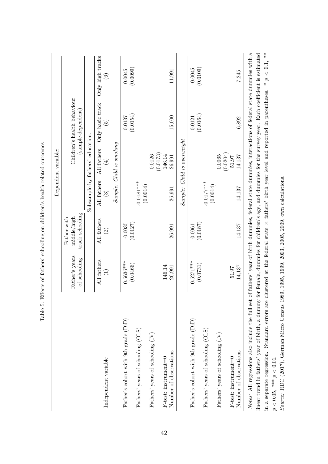|                                                                                                                                                      |                                                                                                                                                                                                                           |                                               |                                       | Dependent variable:                       |                                                   |                                                                                                        |
|------------------------------------------------------------------------------------------------------------------------------------------------------|---------------------------------------------------------------------------------------------------------------------------------------------------------------------------------------------------------------------------|-----------------------------------------------|---------------------------------------|-------------------------------------------|---------------------------------------------------|--------------------------------------------------------------------------------------------------------|
|                                                                                                                                                      | Father's years<br>of schooling                                                                                                                                                                                            | track schooling<br>middle/high<br>Father with |                                       |                                           | Children's health behaviour<br>(sample-dependent) |                                                                                                        |
|                                                                                                                                                      |                                                                                                                                                                                                                           |                                               | Subsample by fathers' education:      |                                           |                                                   |                                                                                                        |
| Independent variable                                                                                                                                 | All fathers<br>$\widehat{\Xi}$                                                                                                                                                                                            | All fathers<br>$\widehat{\mathfrak{O}}$       | All fathers<br>$\widehat{\mathbf{e}}$ | All fathers<br>$\left(\frac{4}{2}\right)$ | Only basic track<br>$\widetilde{5}$               | Only high tracks<br>$\widehat{\mathbf{e}}$                                                             |
|                                                                                                                                                      |                                                                                                                                                                                                                           |                                               |                                       | $Sample: Child$ is smoking                |                                                   |                                                                                                        |
| Father's cohort with 9th grade (DiD)                                                                                                                 | $0.5636***$                                                                                                                                                                                                               | $-0.0035$                                     |                                       |                                           | $0.0137\,$                                        | 0.0045                                                                                                 |
| Fathers' years of schooling (OLS)                                                                                                                    | (0.0466)                                                                                                                                                                                                                  | (0.0127)                                      | $-0.0181***$                          |                                           | (0.0154)                                          | (0.0099)                                                                                               |
| Fathers' years of schooling (IV)                                                                                                                     |                                                                                                                                                                                                                           |                                               | (0.0014)                              | 0.0126                                    |                                                   |                                                                                                        |
| $F$ -test: instrument=0                                                                                                                              | 146.14                                                                                                                                                                                                                    |                                               |                                       | (0.0173)<br>146.14                        |                                                   |                                                                                                        |
| Number of observations                                                                                                                               | 26,991                                                                                                                                                                                                                    | 26,991                                        | 26,991                                | 26,991                                    | 15,000                                            | 11,991                                                                                                 |
|                                                                                                                                                      |                                                                                                                                                                                                                           |                                               |                                       | Sample: Child is overweight               |                                                   |                                                                                                        |
| Father's cohort with 9th grade (DiD)                                                                                                                 | $0.5271***$                                                                                                                                                                                                               | 0.0061                                        |                                       |                                           | 0.0121                                            | $-0.0045$                                                                                              |
| Fathers' years of schooling (OLS)                                                                                                                    | (0.0731)                                                                                                                                                                                                                  | (0.0187)                                      | $-0.0177***$                          |                                           | (0.0164)                                          | (0.0109)                                                                                               |
| Fathers' years of schooling (IV)                                                                                                                     |                                                                                                                                                                                                                           |                                               | (0.0014)                              | 0.0065                                    |                                                   |                                                                                                        |
| $F$ -test: instrument=0                                                                                                                              | 51.97                                                                                                                                                                                                                     |                                               |                                       | (0.0204)<br>51.97                         |                                                   |                                                                                                        |
| Number of observations                                                                                                                               | 14,137                                                                                                                                                                                                                    | 14,137                                        | 14,137                                | 14,137                                    | 6,892                                             | 7,245                                                                                                  |
| Notes: All regressions also include the full set<br>linear trend in fathers' year of birth, a dummy<br>in a separate regression. Standard errors are | clustered at the federal state $\times$ fathers' birth year level and reported in parentheses. * $p < 0.1$ , **<br>of fathers' year of birth dummies, federal state dummies, interactions of federal state dummies with a |                                               |                                       |                                           |                                                   | for female, dummies for children's age, and dummies for the survey year. Each coefficient is estimated |
|                                                                                                                                                      |                                                                                                                                                                                                                           |                                               |                                       |                                           |                                                   |                                                                                                        |

<span id="page-44-0"></span>Table 5: Effects of fathers' schooling on children's health-related outcomes Table 5: Effects of fathers' schooling on children's health-related outcomes

Source: RDC (2017), German Micro Census 1989, 1995, 1999, 2003, 2005, 2009, own calculations. Source: [RDC](#page-38-8) [\(2017\)](#page-38-8), German Micro Census 1989, 1995, 1999, 2003, 2005, 2009, own calculations.  $p<0.05,$  \*\*\*  $p<0.01.$  $p < 0.05$ , \*\*\*  $p < 0.01$ .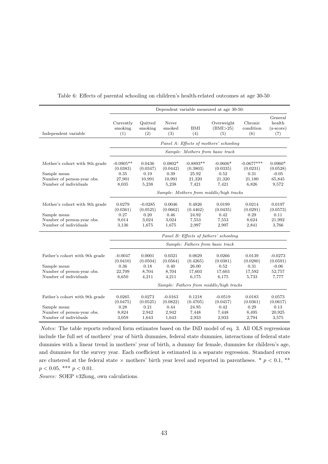|                                                                                                      |                                                    |                                                 |                                                        |                                                     | Dependent variable measured at age 30-50:         |                                                     |                                                     |
|------------------------------------------------------------------------------------------------------|----------------------------------------------------|-------------------------------------------------|--------------------------------------------------------|-----------------------------------------------------|---------------------------------------------------|-----------------------------------------------------|-----------------------------------------------------|
| Independent variable                                                                                 | Currently<br>smoking<br>(1)                        | Quitted<br>smoking<br>(2)                       | Never<br>smoked<br>(3)                                 | BMI<br>(4)                                          | Overweight<br>(BMI>25)<br>(5)                     | Chronic<br>condition<br>(6)                         | General<br>health<br>$(z\text{-score})$<br>(7)      |
|                                                                                                      |                                                    |                                                 |                                                        |                                                     | Panel A: Effects of mothers' schooling            |                                                     |                                                     |
|                                                                                                      |                                                    |                                                 |                                                        |                                                     | Sample: Mothers from basic track                  |                                                     |                                                     |
| Mother's cohort with 9th grade<br>Sample mean<br>Number of person-year obs.<br>Number of individuals | $-0.0905**$<br>(0.0383)<br>0.35<br>27,901<br>8,035 | 0.0436<br>(0.0347)<br>0.19<br>10,991<br>5,238   | $0.0802^{\ast}$<br>(0.0442)<br>0.39<br>10,991<br>5,238 | $-0.8893**$<br>(0.3803)<br>25.92<br>21,320<br>7,421 | $-0.0606*$<br>(0.0335)<br>0.52<br>21,320<br>7,421 | $-0.0677***$<br>(0.0231)<br>0.31<br>21,180<br>6,826 | $0.0960*$<br>(0.0528)<br>$-0.05$<br>65,845<br>9,572 |
|                                                                                                      |                                                    |                                                 |                                                        |                                                     | Sample: Mothers from middle/high tracks           |                                                     |                                                     |
| Mother's cohort with 9th grade<br>Sample mean<br>Number of person-year obs.<br>Number of individuals | 0.0279<br>(0.0361)<br>0.27<br>9,014<br>3,136       | $-0.0285$<br>(0.0525)<br>0.20<br>3,024<br>1,675 | 0.0046<br>(0.0662)<br>0.46<br>3,024<br>1,675           | 0.4826<br>(0.4462)<br>24.92<br>7,553<br>2,997       | 0.0199<br>(0.0435)<br>0.42<br>7,553<br>2,997      | 0.0214<br>(0.0291)<br>0.29<br>8,624<br>2,841        | 0.0197<br>(0.0573)<br>0.11<br>21,992<br>3,766       |
|                                                                                                      |                                                    |                                                 |                                                        |                                                     | Panel B: Effects of fathers' schooling            |                                                     |                                                     |
|                                                                                                      |                                                    |                                                 |                                                        |                                                     | Sample: Fathers from basic track                  |                                                     |                                                     |
| Father's cohort with 9th grade<br>Sample mean<br>Number of person-year obs.<br>Number of individuals | $-0.0047$<br>(0.0410)<br>0.36<br>22,709<br>6,650   | 0.0001<br>(0.0504)<br>0.18<br>8,704<br>4,211    | 0.0321<br>(0.0564)<br>0.40<br>8,704<br>4,211           | 0.0629<br>(0.4265)<br>26.00<br>17,603<br>6,175      | 0.0266<br>(0.0381)<br>0.52<br>17,603<br>6,175     | 0.0139<br>(0.0280)<br>0.31<br>17,592<br>5,733       | $-0.0273$<br>(0.0591)<br>$-0.06$<br>52,757<br>7,777 |
|                                                                                                      |                                                    |                                                 |                                                        |                                                     | Sample: Fathers from middle/high tracks           |                                                     |                                                     |
| Father's cohort with 9th grade                                                                       | 0.0265<br>(0.0475)                                 | 0.0273<br>(0.0525)                              | $-0.0163$<br>(0.0822)                                  | 0.1218<br>(0.4705)                                  | $-0.0519$<br>(0.0457)                             | 0.0183<br>(0.0361)                                  | 0.0573<br>(0.0617)                                  |
| Sample mean<br>Number of person-year obs.<br>Number of individuals                                   | 0.28<br>8,824<br>3,059                             | 0.21<br>2,942<br>1,643                          | 0.44<br>2,942<br>1,643                                 | 24.95<br>7,448<br>2,933                             | 0.42<br>7,448<br>2,933                            | 0.29<br>8,495<br>2,794                              | 0.13<br>20,925<br>3,575                             |

#### <span id="page-45-0"></span>Table 6: Effects of parental schooling on children's health-related outcomes at age 30-50

Notes: The table reports reduced form estimates based on the DiD model of eq. [3.](#page-14-0) All OLS regressions include the full set of mothers' year of birth dummies, federal state dummies, interactions of federal state dummies with a linear trend in mothers' year of birth, a dummy for female, dummies for children's age, and dummies for the survey year. Each coefficient is estimated in a separate regression. Standard errors are clustered at the federal state  $\times$  mothers' birth year level and reported in parentheses. \*  $p < 0.1$ , \*\*  $p < 0.05$ , \*\*\*  $p < 0.01$ .

Source: SOEP v32long, own calculations.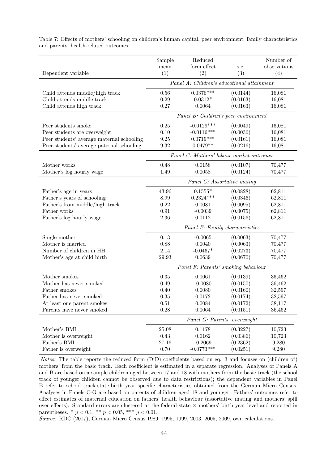|                                           | Sample<br>mean      | Reduced<br>form effect                     | s.e.     | Number of<br>observations |
|-------------------------------------------|---------------------|--------------------------------------------|----------|---------------------------|
| Dependent variable                        | (1)                 | (2)                                        | (3)      | (4)                       |
|                                           |                     | Panel A: Children's educational attainment |          |                           |
| Child attends middle/high track           | 0.56                | $0.0376***$                                | (0.0144) | 16,081                    |
| Child attends middle track                | 0.29                | $0.0312*$                                  | (0.0163) | 16,081                    |
| Child attends high track                  | 0.27                | 0.0064                                     | (0.0163) | 16,081                    |
|                                           |                     | Panel B: Children's peer environment       |          |                           |
| Peer students smoke                       | $0.25\,$            | $-0.0129***$                               | (0.0049) | 16,081                    |
| Peer students are overweight              | 0.10                | $-0.0116***$                               | (0.0036) | 16,081                    |
| Peer students' average maternal schooling | 9.25                | $0.0719***$                                | (0.0161) | 16,081                    |
| Peer students' average paternal schooling | $\boldsymbol{9.32}$ | $0.0479**$                                 | (0.0216) | 16,081                    |
|                                           |                     | Panel C: Mothers' labour market outcomes   |          |                           |
| Mother works                              | 0.48                | 0.0158                                     | (0.0107) | 70,477                    |
| Mother's log hourly wage                  | 1.49                | 0.0058                                     | (0.0124) | 70,477                    |
|                                           |                     | Panel C: Assortative mating                |          |                           |
| Father's age in years                     | 43.96               | $0.1555*$                                  | (0.0828) | 62,811                    |
| Father's years of schooling               | 8.99                | $0.2324***$                                | (0.0346) | 62,811                    |
| Father's from middle/high track           | 0.22                | 0.0081                                     | (0.0095) | 62,811                    |
| Father works                              | 0.91                | $-0.0039$                                  | (0.0075) | 62,811                    |
| Father's log hourly wage                  | 2.36                | 0.0112                                     | (0.0156) | 62,811                    |
|                                           |                     | Panel E: Family characteristics            |          |                           |
| Single mother                             | 0.13                | $-0.0065$                                  | (0.0063) | 70,477                    |
| Mother is married                         | 0.88                | 0.0040                                     | (0.0063) | 70,477                    |
| Number of children in HH                  | 2.14                | $-0.0467*$                                 | (0.0273) | 70,477                    |
| Mother's age at child birth               | 29.93               | 0.0639                                     | (0.0670) | 70,477                    |
|                                           |                     | Panel F: Parents' smoking behaviour        |          |                           |
| Mother smokes                             | 0.35                | 0.0061                                     | (0.0139) | 36,462                    |
| Mother has never smoked                   | 0.49                | $-0.0080$                                  | (0.0150) | 36,462                    |
| Father smokes                             | 0.40                | 0.0080                                     | (0.0160) | 32,597                    |
| Father has never smoked                   | 0.35                | 0.0172                                     | (0.0174) | 32,597                    |
| At least one parent smokes                | 0.51                | 0.0084                                     | (0.0172) | 38,117                    |
| Parents have never smoked                 | $0.28\,$            | 0.0064                                     | (0.0151) | 36,462                    |
|                                           |                     | Panel G: Parents' overweight               |          |                           |
| Mother's $\operatorname{BMI}$             | 25.08               | 0.1178                                     | (0.3227) | 10,723                    |
| Mother is overweight                      | 0.43                | 0.0162                                     | (0.0386) | 10,723                    |
| Father's BMI                              | 27.16               | $-0.2069$                                  | (0.2362) | 9,280                     |
| Father is overweight                      | $0.70\,$            | $-0.0773***$                               | (0.0251) | 9,280                     |

<span id="page-46-0"></span>Table 7: Effects of mothers' schooling on children's human capital, peer environment, family characteristics and parents' health-related outcomes

Notes: The table reports the reduced form (DiD) coefficients based on eq. [3](#page-14-0) and focuses on (children of) mothers' from the basic track. Each coefficient is estimated in a separate regression. Analyses of Panels A and B are based on a sample children aged between 17 and 18 with mothers from the basic track (the school track of younger children cannot be observed due to data restrictions); the dependent variables in Panel B refer to school track-state-birth year specific characteristics obtained from the German Micro Census. Analyses in Panels C-G are based on parents of children aged 18 and younger. Fathers' outcomes refer to effect estimates of maternal education on fathers' health behaviour (assortative mating and mothers' spill over effects). Standard errors are clustered at the federal state × mothers' birth year level and reported in parentheses. \*  $p < 0.1$ , \*\*  $p < 0.05$ , \*\*\*  $p < 0.01$ .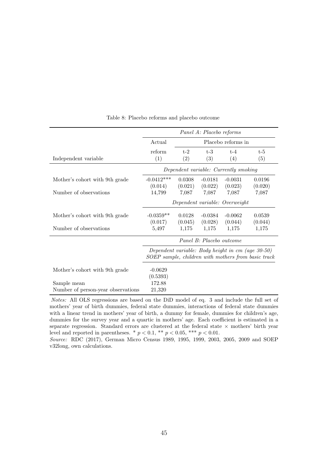<span id="page-47-0"></span>

|                                    |              |         | Panel A: Placebo reforms |                                                   |                                                     |
|------------------------------------|--------------|---------|--------------------------|---------------------------------------------------|-----------------------------------------------------|
|                                    | Actual       |         |                          | Placebo reforms in                                |                                                     |
|                                    | reform       | $t-2$   | $t-3$                    | $t-4$                                             | $t-5$                                               |
| Independent variable               | (1)          | (2)     | (3)                      | (4)                                               | (5)                                                 |
|                                    |              |         |                          | Dependent variable: Currently smoking             |                                                     |
| Mother's cohort with 9th grade     | $-0.0412***$ | 0.0308  | $-0.0181$                | $-0.0031$                                         | 0.0196                                              |
|                                    | (0.014)      | (0.021) | (0.022)                  | (0.023)                                           | (0.020)                                             |
| Number of observations             | 14,799       | 7,087   | 7,087                    | 7,087                                             | 7,087                                               |
|                                    |              |         |                          | Dependent variable: Overweight                    |                                                     |
| Mother's cohort with 9th grade     | $-0.0359**$  | 0.0128  | $-0.0384$                | $-0.0062$                                         | 0.0539                                              |
|                                    | (0.017)      | (0.045) | (0.028)                  | (0.044)                                           | (0.044)                                             |
| Number of observations             | 5,497        | 1,175   | 1,175                    | 1,175                                             | 1,175                                               |
|                                    |              |         | Panel B: Placebo outcome |                                                   |                                                     |
|                                    |              |         |                          | Dependent variable: Body height in cm (age 30-50) | SOEP sample, children with mothers from basic track |
| Mother's cohort with 9th grade     | $-0.0629$    |         |                          |                                                   |                                                     |
|                                    | (0.5393)     |         |                          |                                                   |                                                     |
| Sample mean                        | 172.88       |         |                          |                                                   |                                                     |
| Number of person-year observations | 21,320       |         |                          |                                                   |                                                     |

Table 8: Placebo reforms and placebo outcome

Notes: All OLS regressions are based on the DiD model of eq. [3](#page-14-0) and include the full set of mothers' year of birth dummies, federal state dummies, interactions of federal state dummies with a linear trend in mothers' year of birth, a dummy for female, dummies for children's age, dummies for the survey year and a quartic in mothers' age. Each coefficient is estimated in a separate regression. Standard errors are clustered at the federal state  $\times$  mothers' birth year level and reported in parentheses. \*  $p < 0.1$ , \*\*  $p < 0.05$ , \*\*\*  $p < 0.01$ .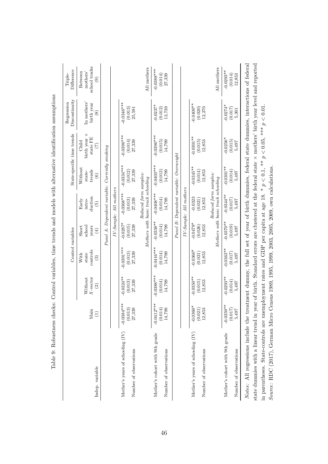|                                                                                                                                                                                                                                                                                                                                                                                                                                           |                                          |                                         | Control variables                                   |                                               |                                                                 |                                              | State-specific time trends                                | Discontinuity<br>Regression              | Difference<br>Triple-                     |
|-------------------------------------------------------------------------------------------------------------------------------------------------------------------------------------------------------------------------------------------------------------------------------------------------------------------------------------------------------------------------------------------------------------------------------------------|------------------------------------------|-----------------------------------------|-----------------------------------------------------|-----------------------------------------------|-----------------------------------------------------------------|----------------------------------------------|-----------------------------------------------------------|------------------------------------------|-------------------------------------------|
| Indep. variable                                                                                                                                                                                                                                                                                                                                                                                                                           | Main<br>$\widehat{\Xi}$                  | $X$ -vector<br>Without<br>$\widehat{c}$ | controls<br>state<br>With<br>$\widehat{\mathbf{e}}$ | school<br>Short<br>years<br>$\left( 4\right)$ | duction<br>Early<br>intro-<br>$\widetilde{5}$                   | Without<br>trends<br>state-<br>$\widehat{c}$ | birth year $\times$<br>state FE<br>Child<br>$\widehat{C}$ | In mothers'<br>birth year<br>$\circledS$ | school tracks<br>mothers'<br>Between<br>ම |
|                                                                                                                                                                                                                                                                                                                                                                                                                                           |                                          |                                         |                                                     |                                               | Panel A: Dependent variable:                                    | $Currently$ smoking                          |                                                           |                                          |                                           |
|                                                                                                                                                                                                                                                                                                                                                                                                                                           |                                          |                                         |                                                     |                                               | IV-Sample: All mothers                                          |                                              |                                                           |                                          |                                           |
| Mother's years of schooling (IV)<br>Number of observations                                                                                                                                                                                                                                                                                                                                                                                | $-0.0384***$<br>(0.013)<br>27,339        | $-0.0324***$<br>(0.013)<br>27,339       | $-0.0391***$<br>(0.013)<br>27,339                   | $-0.0287*$<br>(0.015)<br>27,339               | $-0.0368***$<br>(0.013)<br>27,339                               | $-0.0334***$<br>(0.012)<br>27,339            | $-0.0396***$<br>(0.014)<br>27,339                         | $-0.0346***$<br>(0.013)<br>25,591        |                                           |
|                                                                                                                                                                                                                                                                                                                                                                                                                                           |                                          |                                         |                                                     |                                               | Reduced form samples:<br>Mothers with basic track schooling     |                                              |                                                           |                                          | All mothers                               |
| Mother's cohort with 9th grade<br>Number of observations                                                                                                                                                                                                                                                                                                                                                                                  | $-0.0412***$<br>(0.014)<br>14,799        | $-0.0388***$<br>(0.014)<br>14,799       | $-0.0416***$<br>(0.014)<br>14,799                   | $-0.0338***$<br>(0.014)<br>14,799             | $-0.0408***$<br>(0.014)<br>14,799                               | $-0.0403***$<br>(0.013)<br>14,799            | $-0.0396***$<br>(0.015)<br>14,799                         | $-0.0237*$<br>(0.012)<br>13,739          | $-0.0388***$<br>(0.014)<br>27,339         |
|                                                                                                                                                                                                                                                                                                                                                                                                                                           |                                          |                                         |                                                     |                                               |                                                                 | Panel B: Dependent variable: Overweight      |                                                           |                                          |                                           |
|                                                                                                                                                                                                                                                                                                                                                                                                                                           |                                          |                                         |                                                     |                                               | IV-Sample: All mothers                                          |                                              |                                                           |                                          |                                           |
| Mother's years of schooling (IV)<br>Number of observations                                                                                                                                                                                                                                                                                                                                                                                | $-0.0360*$<br>(0.021)<br>12,853          | $-0.0350**$<br>(0.015)<br>12,853        | $-0.0360*$<br>(0.021)<br>12,853                     | $-0.0479*$<br>(0.026)<br>12,853               | $-0.0323$<br>(0.021)<br>12,853                                  | $-0.0345***$<br>(0.014)<br>12,853            | $-0.0301**$<br>(0.015)<br>12,853                          | $-0.0400**$<br>(0.020)<br>12,270         |                                           |
|                                                                                                                                                                                                                                                                                                                                                                                                                                           |                                          |                                         |                                                     |                                               | Reduced form samples:<br>Mothers with basic track schooling     |                                              |                                                           |                                          | All mothers                               |
| Mother's cohort with 9th grade<br>Number of observations                                                                                                                                                                                                                                                                                                                                                                                  | $\ast$<br>$-0.0359*$<br>(0.017)<br>5,497 | $-0.0293***$<br>(0.014)<br>5,497        | $-0.0363***$<br>(0.017)<br>5,497                    | $-0.0370**$<br>(0.019)<br>5,497               | $-0.0344***$<br>$\begin{array}{c} (0.017) \\ 5,497 \end{array}$ | $-0.0301**$<br>(0.014)<br>5,497              | $-0.0256*$<br>(0.015)<br>5,497                            | $-0.0274*$<br>(0.017)<br>5,301           | $-0.0293**$<br>(0.014)<br>12,853          |
| state dummies with a linear trend in year of birth. Standard errors are clustered at the federal state $\times$ mothers' birth year level and reported<br>Notes: All regressions include the treatment dummy, the full set of year of birth dummies, federal state dummies, interactions of federal<br>in parentheses. State-controls are unemployment rates and GDP per capita at age 18. * $p < 0.1$ , ** $p < 0.05$ , *** $p < 0.01$ . |                                          |                                         |                                                     |                                               |                                                                 |                                              |                                                           |                                          |                                           |

Source: [RDC](#page-38-8) ([2017\)](#page-38-8), German Micro Census 1989, 1995, 1999, 2003, 2005, 2009, own calculations.

<span id="page-48-0"></span>

|   | Ì                                                                                                                    |
|---|----------------------------------------------------------------------------------------------------------------------|
|   |                                                                                                                      |
|   | $\mathbf{I}$                                                                                                         |
|   |                                                                                                                      |
|   | j<br>i                                                                                                               |
|   |                                                                                                                      |
|   |                                                                                                                      |
|   | $\frac{1}{2}$                                                                                                        |
|   |                                                                                                                      |
|   |                                                                                                                      |
|   |                                                                                                                      |
|   | ֧֦֧ׅ֧֦֧֧֦֧֧֦֧֦֧֦֧֦֧֧֧֧֦֧֧֦֧֧֧֧֧֧֛֪֪֛֪֛֪֚֚֚֚֚֚֚֚֚֡֕֘֝֬֕֓֕֓֕֓֕֓֕֓֝֓֡֝֬֓֝֓֝֓֓֓֝֬֝֬֝֬֝֬֝֬֝֬֝֬֝֬֝<br>$\frac{1}{2}$        |
|   |                                                                                                                      |
|   | Ì                                                                                                                    |
|   | ֖֖֖֪ׅ֖֧ׅ֖ׅ֪֪ׅ֖֚֚֚֚֚֚֚֚֚֚֚֚֚֚֚֚֚֚֚֚֚֬֝֝֝֝֝֝֬֝֬֝֬                                                                      |
|   |                                                                                                                      |
|   |                                                                                                                      |
|   | ֖֖֖֖֖֧֧֖֧֚֚֚֚֚֚֚֚֚֚֚֚֚֚֚֚֚֚֚֚֚֚֚֚֚֚֚֚֚֬֝֓֝֓֞֝֓֬<br>C<br>C<br>C<br>C<br>C                                             |
|   | ֧֧֧֧֧֧֧֧֧֧֧֧֧֧֧֧֧֧֧֧֛֧֧֧֛֧֧֛֚֚֚֚֚֚֚֝֝֓֕֝֓֕֓֕֓֕֓֬֝֓֝֬֝֓֬֝֓֝֬֝֓֝֬֝֓֝֬֝֓֝֬֝֬֝֬֝֬֝֬֝֬֝֬֝֬֝֬֝֬֝֬֝֬֝֬                      |
|   |                                                                                                                      |
|   |                                                                                                                      |
|   | <b>Contracted</b><br>$\frac{1}{2}$                                                                                   |
|   |                                                                                                                      |
|   | l                                                                                                                    |
|   |                                                                                                                      |
|   | j                                                                                                                    |
|   | .<br>י                                                                                                               |
|   |                                                                                                                      |
|   | į                                                                                                                    |
|   |                                                                                                                      |
|   | ì<br>j                                                                                                               |
|   | $\frac{1}{2}$                                                                                                        |
|   | ֘֒                                                                                                                   |
|   |                                                                                                                      |
|   |                                                                                                                      |
|   | į                                                                                                                    |
|   |                                                                                                                      |
|   | l                                                                                                                    |
|   | ׅ֘֒<br>l                                                                                                             |
|   | <br> <br>                                                                                                            |
|   | י<br>ווי ה                                                                                                           |
|   | ļ                                                                                                                    |
|   | j<br>l                                                                                                               |
|   | ł                                                                                                                    |
|   |                                                                                                                      |
|   |                                                                                                                      |
|   |                                                                                                                      |
|   | t                                                                                                                    |
|   |                                                                                                                      |
|   |                                                                                                                      |
|   |                                                                                                                      |
|   |                                                                                                                      |
|   | ļ<br>J<br>I<br>j                                                                                                     |
|   |                                                                                                                      |
|   |                                                                                                                      |
|   |                                                                                                                      |
|   | j                                                                                                                    |
| I | ֘֝֬                                                                                                                  |
|   |                                                                                                                      |
|   |                                                                                                                      |
|   | ֧֖֧֧֧֧֧֧ׅ֧֧֧֧ׅ֧֧֧֧֧֧֧֧֧֧֧֧֧֧֧֛֛֛֛֛֛֛֛֧֧֧֧֧֧֧֚֚֚֚֚֚֚֚֚֚֚֚֚֚֚֚֚֚֡֓֝֕֓֝֓֝֓֝֬֝֓֝֬֝֓֝֬֜֓֝֬֝֓֝֬֜֓֝֬֝֬֝֬֝֬֝֬֝֬֝֬֝֬֝֬֝֬<br>ś |
|   | 3<br>¢                                                                                                               |
| I |                                                                                                                      |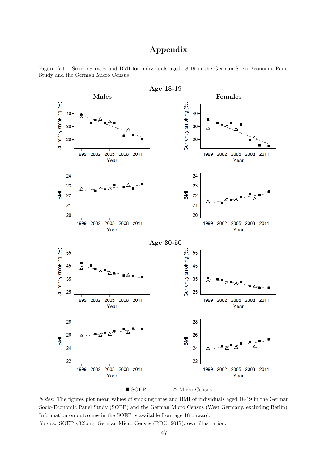## Appendix



<span id="page-49-0"></span>Figure A.1: Smoking rates and BMI for individuals aged 18-19 in the German Socio-Economic Panel Study and the German Micro Census

Notes: The figures plot mean values of smoking rates and BMI of individuals aged 18-19 in the German Socio-Economic Panel Study (SOEP) and the German Micro Census (West Germany, excluding Berlin). Information on outcomes in the SOEP is available from age 18 onward. Source: SOEP v32long, German Micro Census [\(RDC,](#page-38-8) [2017\)](#page-38-8), own illustration.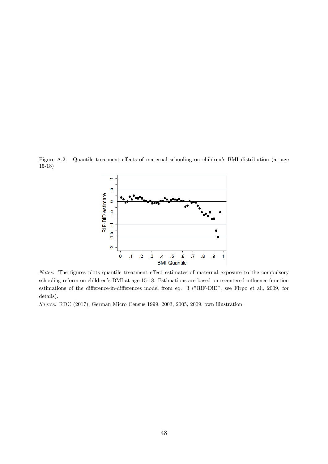<span id="page-50-0"></span>Figure A.2: Quantile treatment effects of maternal schooling on children's BMI distribution (at age 15-18)



Notes: The figures plots quantile treatment effect estimates of maternal exposure to the compulsory schooling reform on children's BMI at age 15-18. Estimations are based on recentered influence function estimations of the difference-in-differences model from eq. [3](#page-14-0) ("RiF-DiD", see [Firpo et al.,](#page-35-9) [2009,](#page-35-9) for details).

Source: [RDC](#page-38-8) [\(2017\)](#page-38-8), German Micro Census 1999, 2003, 2005, 2009, own illustration.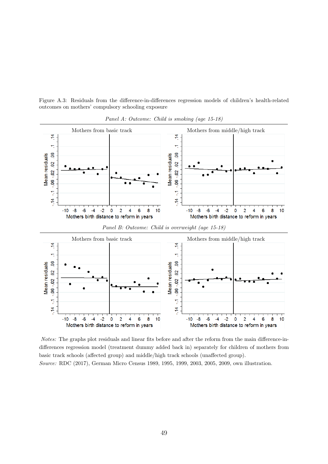<span id="page-51-0"></span>Figure A.3: Residuals from the difference-in-differences regression models of children's health-related outcomes on mothers' compulsory schooling exposure



Panel A: Outcome: Child is smoking (age 15-18)

Notes: The graphs plot residuals and linear fits before and after the reform from the main difference-indifferences regression model (treatment dummy added back in) separately for children of mothers from basic track schools (affected group) and middle/high track schools (unaffected group). Source: [RDC](#page-38-8) [\(2017\)](#page-38-8), German Micro Census 1989, 1995, 1999, 2003, 2005, 2009, own illustration.

 $-2$  $\mathbf{0}$  $\overline{2}$ 

Mothers birth distance to reform in years

 $\overline{\mathbf{4}}$  $\overline{6}$ 8  $10$ 

 $-4$ 

 $-10 -8 -6$ 

 $\mathbf 0$  $\overline{2}$  $\overline{4}$ 

Mothers birth distance to reform in years

6 8 10

 $-10 -8$ 

 $-6$ 

 $-4$   $-2$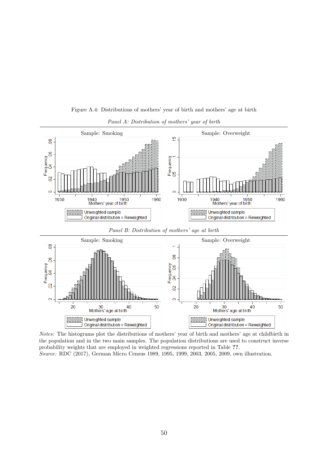<span id="page-52-0"></span>

Figure A.4: Distributions of mothers' year of birth and mothers' age at birth

#### Panel A: Distribution of mothers' year of birth

Notes: The histograms plot the distributions of mothers' year of birth and mothers' age at childbirth in the population and in the two main samples. The population distributions are used to construct inverse probability weights that are employed in weighted regressions reported in Table ??. Source: [RDC](#page-38-8) [\(2017\)](#page-38-8), German Micro Census 1989, 1995, 1999, 2003, 2005, 2009, own illustration.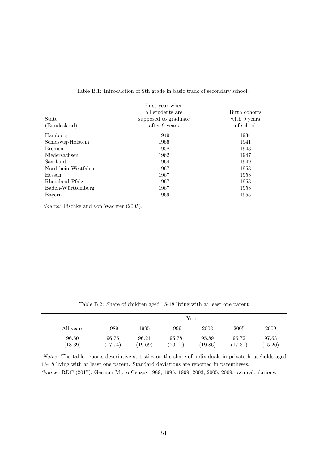<span id="page-53-0"></span>

| State<br>(Bundesland) | First year when<br>all students are<br>supposed to graduate<br>after 9 years | Birth cohorts<br>with 9 years<br>of school |
|-----------------------|------------------------------------------------------------------------------|--------------------------------------------|
| Hamburg               | 1949                                                                         | 1934                                       |
| Schleswig-Holstein    | 1956                                                                         | 1941                                       |
| <b>Bremen</b>         | 1958                                                                         | 1943                                       |
| Niedersachsen         | 1962                                                                         | 1947                                       |
| Saarland              | 1964                                                                         | 1949                                       |
| Nordrhein-Westfalen   | 1967                                                                         | 1953                                       |
| Hessen                | 1967                                                                         | 1953                                       |
| Rheinland-Pfalz       | 1967                                                                         | 1953                                       |
| Baden-Württemberg     | 1967                                                                         | 1953                                       |
| Bayern                | 1969                                                                         | 1955                                       |

Table B.1: Introduction of 9th grade in basic track of secondary school.

Source: [Pischke and von Wachter](#page-38-14) [\(2005\)](#page-38-14).

<span id="page-53-1"></span>

|           |      |      |      | $\operatorname{Year}$ |      |      |
|-----------|------|------|------|-----------------------|------|------|
| All years | 1989 | 1995 | 1999 | 2003                  | 2005 | 2009 |

Table B.2: Share of children aged 15-18 living with at least one parent

Notes: The table reports descriptive statistics on the share of individuals in private households aged 15-18 living with at least one parent. Standard deviations are reported in parentheses. Source: [RDC](#page-38-8) [\(2017\)](#page-38-8), German Micro Census 1989, 1995, 1999, 2003, 2005, 2009, own calculations.

96.50 96.75 96.21 95.78 95.89 96.72 97.63 (18.39) (17.74) (19.09) (20.11) (19.86) (17.81) (15.20)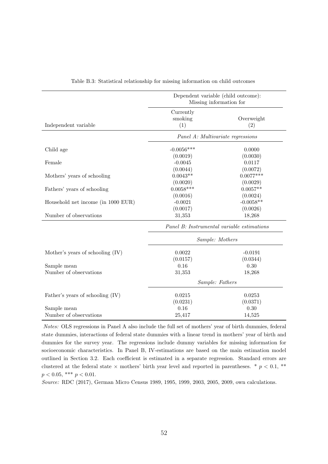<span id="page-54-0"></span>

|                                    |              | Dependent variable (child outcome):<br>Missing information for |
|------------------------------------|--------------|----------------------------------------------------------------|
|                                    | Currently    |                                                                |
|                                    | smoking      | Overweight                                                     |
| Independent variable               | (1)          | (2)                                                            |
|                                    |              | Panel A: Multivariate regressions                              |
| Child age                          | $-0.0056***$ | 0.0000                                                         |
|                                    | (0.0019)     | (0.0030)                                                       |
| Female                             | $-0.0045$    | 0.0117                                                         |
|                                    | (0.0044)     | (0.0072)                                                       |
| Mothers' years of schooling        | $0.0043**$   | $0.0077***$                                                    |
|                                    | (0.0020)     | (0.0029)                                                       |
| Fathers' years of schooling        | $0.0058***$  | $0.0057**$                                                     |
|                                    | (0.0016)     | (0.0024)                                                       |
| Household net income (in 1000 EUR) | $-0.0021$    | $-0.0058**$                                                    |
|                                    | (0.0017)     | (0.0026)                                                       |
| Number of observations             | 31,353       | 18,268                                                         |
|                                    |              | Panel B: Instrumental variable estimations                     |
|                                    |              | Sample: Mothers                                                |
| Mother's years of schooling $(IV)$ | 0.0022       | $-0.0191$                                                      |
|                                    | (0.0157)     | (0.0344)                                                       |
| Sample mean                        | 0.16         | 0.30                                                           |
| Number of observations             | 31,353       | 18,268                                                         |
|                                    |              | Sample: Fathers                                                |
| Father's years of schooling (IV)   | 0.0215       | 0.0253                                                         |
|                                    | (0.0231)     | (0.0371)                                                       |
| Sample mean                        | 0.16         | 0.30                                                           |
| Number of observations             | 25,417       | 14,525                                                         |

Table B.3: Statistical relationship for missing information on child outcomes

Notes: OLS regressions in Panel A also include the full set of mothers' year of birth dummies, federal state dummies, interactions of federal state dummies with a linear trend in mothers' year of birth and dummies for the survey year. The regressions include dummy variables for missing information for socioeconomic characteristics. In Panel B, IV-estimations are based on the main estimation model outlined in Section [3.2.](#page-12-0) Each coefficient is estimated in a separate regression. Standard errors are clustered at the federal state  $\times$  mothers' birth year level and reported in parentheses. \*  $p < 0.1$ , \*\*  $p < 0.05$ , \*\*\*  $p < 0.01$ .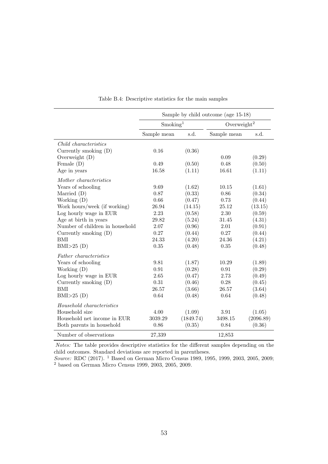<span id="page-55-0"></span>

|                                 |                      |           | Sample by child outcome (age 15-18) |           |
|---------------------------------|----------------------|-----------|-------------------------------------|-----------|
|                                 | Smoking <sup>1</sup> |           | Overweight <sup>2</sup>             |           |
|                                 | Sample mean          | s.d.      | Sample mean                         | s.d.      |
| Child characteristics           |                      |           |                                     |           |
| Currently smoking $(D)$         | 0.16                 | (0.36)    |                                     |           |
| Overweight (D)                  |                      |           | 0.09                                | (0.29)    |
| Female $(D)$                    | 0.49                 | (0.50)    | 0.48                                | (0.50)    |
| Age in years                    | 16.58                | (1.11)    | 16.61                               | (1.11)    |
| Mother characteristics          |                      |           |                                     |           |
| Years of schooling              | 9.69                 | (1.62)    | 10.15                               | (1.61)    |
| Married $(D)$                   | 0.87                 | (0.33)    | 0.86                                | (0.34)    |
| Working (D)                     | 0.66                 | (0.47)    | 0.73                                | (0.44)    |
| Work hours/week (if working)    | 26.94                | (14.15)   | 25.12                               | (13.15)   |
| Log hourly wage in EUR          | 2.23                 | (0.58)    | 2.30                                | (0.59)    |
| Age at birth in years           | 29.82                | (5.24)    | 31.45                               | (4.31)    |
| Number of children in household | $2.07\,$             | (0.96)    | 2.01                                | (0.91)    |
| Currently smoking (D)           | 0.27                 | (0.44)    | 0.27                                | (0.44)    |
| <b>BMI</b>                      | 24.33                | (4.20)    | 24.36                               | (4.21)    |
| BMI>25(D)                       | 0.35                 | (0.48)    | 0.35                                | (0.48)    |
| Father characteristics          |                      |           |                                     |           |
| Years of schooling              | 9.81                 | (1.87)    | 10.29                               | (1.89)    |
| Working $(D)$                   | 0.91                 | (0.28)    | 0.91                                | (0.29)    |
| Log hourly wage in EUR          | 2.65                 | (0.47)    | 2.73                                | (0.49)    |
| Currently smoking (D)           | 0.31                 | (0.46)    | 0.28                                | (0.45)    |
| <b>BMI</b>                      | 26.57                | (3.66)    | 26.57                               | (3.64)    |
| BMI>25(D)                       | 0.64                 | (0.48)    | 0.64                                | (0.48)    |
| Household characteristics       |                      |           |                                     |           |
| Household size                  | 4.00                 | (1.09)    | 3.91                                | (1.05)    |
| Household net income in EUR     | 3039.29              | (1849.74) | 3498.15                             | (2096.89) |
| Both parents in household       | 0.86                 | (0.35)    | 0.84                                | (0.36)    |
| Number of observations          | 27,339               |           | 12,853                              |           |

Table B.4: Descriptive statistics for the main samples

Notes: The table provides descriptive statistics for the different samples depending on the child outcomes. Standard deviations are reported in parentheses.

Source: [RDC](#page-38-8) [\(2017\)](#page-38-8). <sup>1</sup> Based on German Micro Census 1989, 1995, 1999, 2003, 2005, 2009; <sup>2</sup> based on German Micro Census 1999, 2003, 2005, 2009.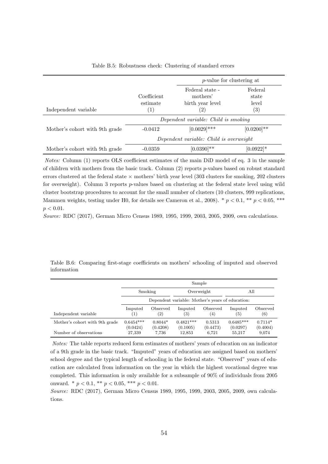<span id="page-56-0"></span>

|                                |                         | <i>p</i> -value for clustering at               |                           |
|--------------------------------|-------------------------|-------------------------------------------------|---------------------------|
|                                | Coefficient<br>estimate | Federal state -<br>mothers'<br>birth year level | Federal<br>state<br>level |
| Independent variable           | $\left(1\right)$        | $\left( 2\right)$                               | $\left( 3\right)$         |
|                                |                         | Dependent variable: Child is smoking            |                           |
| Mother's cohort with 9th grade | $-0.0412$               | $[0.0029]$ ***                                  | $[0.0200]$ **             |
|                                |                         | Dependent variable: Child is overweight         |                           |
| Mother's cohort with 9th grade | $-0.0359$               | $[0.0390]^{**}$                                 | $[0.0922]^{*}$            |

Table B.5: Robustness check: Clustering of standard errors

Notes: Column (1) reports OLS coefficient estimates of the main DiD model of eq. [3](#page-14-0) in the sample of children with mothers from the basic track. Column  $(2)$  reports p-values based on robust standard errors clustered at the federal state  $\times$  mothers' birth year level (303 clusters for smoking, 202 clusters for overweight). Column 3 reports  $p$ -values based on clustering at the federal state level using wild cluster bootstrap procedures to account for the small number of clusters (10 clusters, 999 replications, Mammen weights, testing under H0, for details see [Cameron et al.,](#page-33-9) [2008\)](#page-33-9).  $*$   $p < 0.1$ ,  $**$   $p < 0.05$ ,  $***$  $p < 0.01$ .

Source: [RDC](#page-38-8) [\(2017\)](#page-38-8), German Micro Census 1989, 1995, 1999, 2003, 2005, 2009, own calculations.

<span id="page-56-1"></span>Table B.6: Comparing first-stage coefficients on mothers' schooling of imputed and observed information

|                                |                         |                               | Sample                                           |                    |                              |                       |
|--------------------------------|-------------------------|-------------------------------|--------------------------------------------------|--------------------|------------------------------|-----------------------|
|                                | Smoking                 |                               | Overweight                                       |                    | All                          |                       |
|                                |                         |                               | Dependent variable: Mother's years of education: |                    |                              |                       |
| Independent variable           | Imputed<br>(1)          | Observed<br>$\left( 2\right)$ | Imputed<br>(3)                                   | Observed<br>(4)    | Imputed<br>$\left( 5\right)$ | Observed<br>(6)       |
| Mother's cohort with 9th grade | $0.6454***$<br>(0.0424) | $0.8044*$<br>(0.4208)         | $0.4821***$<br>(0.1005)                          | 0.5313<br>(0.4473) | $0.6485***$<br>(0.0297)      | $0.7114*$<br>(0.4004) |
| Number of observations         | 27,339                  | 7.736                         | 12,853                                           | 6,721              | 55,217                       | 9,074                 |

Notes: The table reports reduced form estimates of mothers' years of education on an indicator of a 9th grade in the basic track. "Imputed" years of education are assigned based on mothers' school degree and the typical length of schooling in the federal state. "Observed" years of education are calculated from information on the year in which the highest vocational degree was completed. This information is only available for a subsample of 90% of individuals from 2005 onward. \*  $p < 0.1$ , \*\*  $p < 0.05$ , \*\*\*  $p < 0.01$ .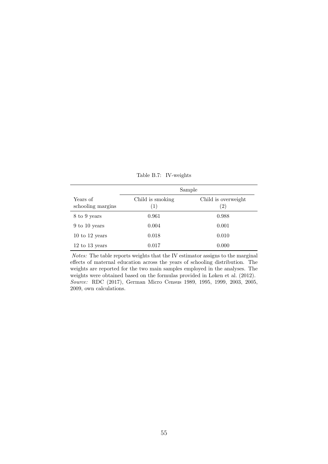<span id="page-57-0"></span>

|                               |                                       | Sample                                   |
|-------------------------------|---------------------------------------|------------------------------------------|
| Years of<br>schooling margins | Child is smoking<br>$\left( 1\right)$ | Child is overweight<br>$\left( 2\right)$ |
| 8 to 9 years                  | 0.961                                 | 0.988                                    |
| 9 to 10 years                 | 0.004                                 | 0.001                                    |
| $10$ to $12$ years            | 0.018                                 | 0.010                                    |
| $12$ to $13$ years            | 0.017                                 | 0.000                                    |

Table B.7: IV-weights

Notes: The table reports weights that the IV estimator assigns to the marginal effects of maternal education across the years of schooling distribution. The weights are reported for the two main samples employed in the analyses. The weights were obtained based on the formulas provided in [Løken et al.](#page-37-9) [\(2012\)](#page-37-9). Source: [RDC](#page-38-8) [\(2017\)](#page-38-8), German Micro Census 1989, 1995, 1999, 2003, 2005, 2009, own calculations.